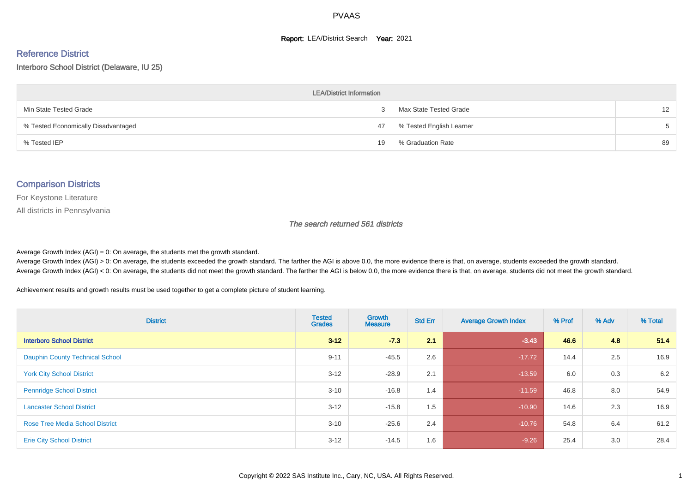#### **Report: LEA/District Search Year: 2021**

#### Reference District

#### Interboro School District (Delaware, IU 25)

| <b>LEA/District Information</b>     |    |                          |                   |  |  |  |  |  |  |
|-------------------------------------|----|--------------------------|-------------------|--|--|--|--|--|--|
| Min State Tested Grade              |    | Max State Tested Grade   | $12 \overline{ }$ |  |  |  |  |  |  |
| % Tested Economically Disadvantaged | 47 | % Tested English Learner | 5                 |  |  |  |  |  |  |
| % Tested IEP                        | 19 | % Graduation Rate        | 89                |  |  |  |  |  |  |

#### Comparison Districts

For Keystone Literature

All districts in Pennsylvania

The search returned 561 districts

Average Growth Index  $(AGI) = 0$ : On average, the students met the growth standard.

Average Growth Index (AGI) > 0: On average, the students exceeded the growth standard. The farther the AGI is above 0.0, the more evidence there is that, on average, students exceeded the growth standard. Average Growth Index (AGI) < 0: On average, the students did not meet the growth standard. The farther the AGI is below 0.0, the more evidence there is that, on average, students did not meet the growth standard.

Achievement results and growth results must be used together to get a complete picture of student learning.

| <b>District</b>                        | <b>Tested</b><br><b>Grades</b> | <b>Growth</b><br><b>Measure</b> | <b>Std Err</b> | <b>Average Growth Index</b> | % Prof | % Adv | % Total |
|----------------------------------------|--------------------------------|---------------------------------|----------------|-----------------------------|--------|-------|---------|
| <b>Interboro School District</b>       | $3 - 12$                       | $-7.3$                          | 2.1            | $-3.43$                     | 46.6   | 4.8   | 51.4    |
| <b>Dauphin County Technical School</b> | $9 - 11$                       | $-45.5$                         | 2.6            | $-17.72$                    | 14.4   | 2.5   | 16.9    |
| <b>York City School District</b>       | $3 - 12$                       | $-28.9$                         | 2.1            | $-13.59$                    | 6.0    | 0.3   | 6.2     |
| <b>Pennridge School District</b>       | $3 - 10$                       | $-16.8$                         | 1.4            | $-11.59$                    | 46.8   | 8.0   | 54.9    |
| <b>Lancaster School District</b>       | $3 - 12$                       | $-15.8$                         | 1.5            | $-10.90$                    | 14.6   | 2.3   | 16.9    |
| <b>Rose Tree Media School District</b> | $3 - 10$                       | $-25.6$                         | 2.4            | $-10.76$                    | 54.8   | 6.4   | 61.2    |
| <b>Erie City School District</b>       | $3 - 12$                       | $-14.5$                         | 1.6            | $-9.26$                     | 25.4   | 3.0   | 28.4    |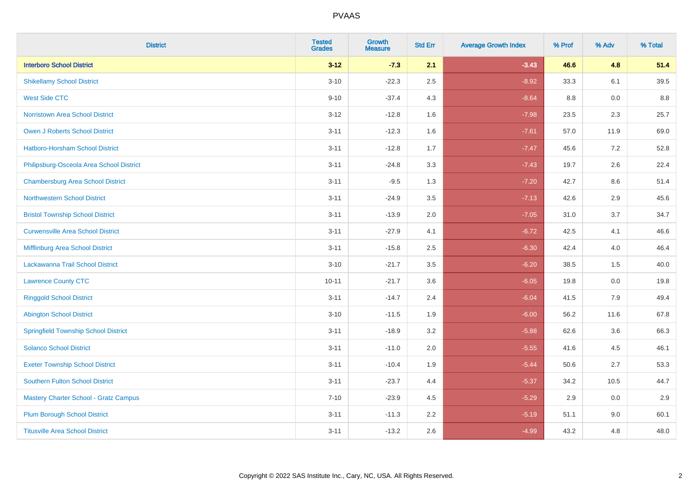| <b>District</b>                              | <b>Tested</b><br><b>Grades</b> | <b>Growth</b><br><b>Measure</b> | <b>Std Err</b> | <b>Average Growth Index</b> | % Prof | % Adv | % Total |
|----------------------------------------------|--------------------------------|---------------------------------|----------------|-----------------------------|--------|-------|---------|
| <b>Interboro School District</b>             | $3 - 12$                       | $-7.3$                          | 2.1            | $-3.43$                     | 46.6   | 4.8   | 51.4    |
| <b>Shikellamy School District</b>            | $3 - 10$                       | $-22.3$                         | 2.5            | $-8.92$                     | 33.3   | 6.1   | 39.5    |
| <b>West Side CTC</b>                         | $9 - 10$                       | $-37.4$                         | 4.3            | $-8.64$                     | 8.8    | 0.0   | 8.8     |
| <b>Norristown Area School District</b>       | $3 - 12$                       | $-12.8$                         | 1.6            | $-7.98$                     | 23.5   | 2.3   | 25.7    |
| Owen J Roberts School District               | $3 - 11$                       | $-12.3$                         | 1.6            | $-7.61$                     | 57.0   | 11.9  | 69.0    |
| <b>Hatboro-Horsham School District</b>       | $3 - 11$                       | $-12.8$                         | 1.7            | $-7.47$                     | 45.6   | 7.2   | 52.8    |
| Philipsburg-Osceola Area School District     | $3 - 11$                       | $-24.8$                         | 3.3            | $-7.43$                     | 19.7   | 2.6   | 22.4    |
| <b>Chambersburg Area School District</b>     | $3 - 11$                       | $-9.5$                          | 1.3            | $-7.20$                     | 42.7   | 8.6   | 51.4    |
| <b>Northwestern School District</b>          | $3 - 11$                       | $-24.9$                         | 3.5            | $-7.13$                     | 42.6   | 2.9   | 45.6    |
| <b>Bristol Township School District</b>      | $3 - 11$                       | $-13.9$                         | 2.0            | $-7.05$                     | 31.0   | 3.7   | 34.7    |
| <b>Curwensville Area School District</b>     | $3 - 11$                       | $-27.9$                         | 4.1            | $-6.72$                     | 42.5   | 4.1   | 46.6    |
| Mifflinburg Area School District             | $3 - 11$                       | $-15.8$                         | 2.5            | $-6.30$                     | 42.4   | 4.0   | 46.4    |
| Lackawanna Trail School District             | $3 - 10$                       | $-21.7$                         | 3.5            | $-6.20$                     | 38.5   | 1.5   | 40.0    |
| <b>Lawrence County CTC</b>                   | $10 - 11$                      | $-21.7$                         | 3.6            | $-6.05$                     | 19.8   | 0.0   | 19.8    |
| <b>Ringgold School District</b>              | $3 - 11$                       | $-14.7$                         | 2.4            | $-6.04$                     | 41.5   | 7.9   | 49.4    |
| <b>Abington School District</b>              | $3 - 10$                       | $-11.5$                         | 1.9            | $-6.00$                     | 56.2   | 11.6  | 67.8    |
| <b>Springfield Township School District</b>  | $3 - 11$                       | $-18.9$                         | 3.2            | $-5.88$                     | 62.6   | 3.6   | 66.3    |
| <b>Solanco School District</b>               | $3 - 11$                       | $-11.0$                         | 2.0            | $-5.55$                     | 41.6   | 4.5   | 46.1    |
| <b>Exeter Township School District</b>       | $3 - 11$                       | $-10.4$                         | 1.9            | $-5.44$                     | 50.6   | 2.7   | 53.3    |
| <b>Southern Fulton School District</b>       | $3 - 11$                       | $-23.7$                         | 4.4            | $-5.37$                     | 34.2   | 10.5  | 44.7    |
| <b>Mastery Charter School - Gratz Campus</b> | $7 - 10$                       | $-23.9$                         | 4.5            | $-5.29$                     | 2.9    | 0.0   | 2.9     |
| <b>Plum Borough School District</b>          | $3 - 11$                       | $-11.3$                         | 2.2            | $-5.19$                     | 51.1   | 9.0   | 60.1    |
| <b>Titusville Area School District</b>       | $3 - 11$                       | $-13.2$                         | 2.6            | $-4.99$                     | 43.2   | 4.8   | 48.0    |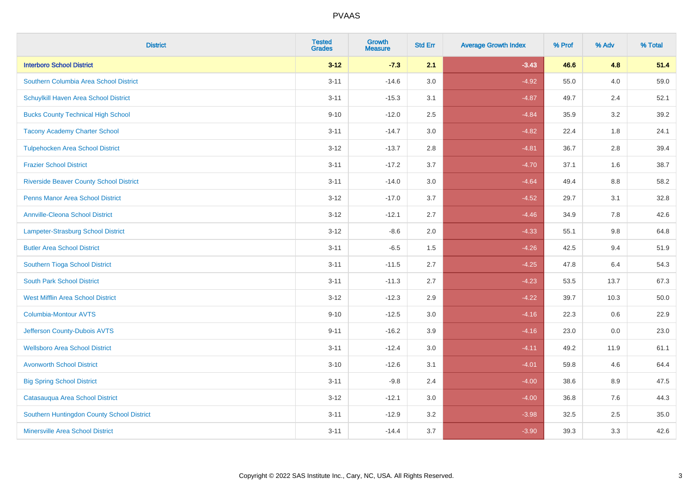| <b>District</b>                                | <b>Tested</b><br><b>Grades</b> | <b>Growth</b><br><b>Measure</b> | <b>Std Err</b> | <b>Average Growth Index</b> | % Prof | % Adv | % Total |
|------------------------------------------------|--------------------------------|---------------------------------|----------------|-----------------------------|--------|-------|---------|
| <b>Interboro School District</b>               | $3 - 12$                       | $-7.3$                          | 2.1            | $-3.43$                     | 46.6   | 4.8   | 51.4    |
| Southern Columbia Area School District         | $3 - 11$                       | $-14.6$                         | 3.0            | $-4.92$                     | 55.0   | 4.0   | 59.0    |
| Schuylkill Haven Area School District          | $3 - 11$                       | $-15.3$                         | 3.1            | $-4.87$                     | 49.7   | 2.4   | 52.1    |
| <b>Bucks County Technical High School</b>      | $9 - 10$                       | $-12.0$                         | 2.5            | $-4.84$                     | 35.9   | 3.2   | 39.2    |
| <b>Tacony Academy Charter School</b>           | $3 - 11$                       | $-14.7$                         | 3.0            | $-4.82$                     | 22.4   | 1.8   | 24.1    |
| <b>Tulpehocken Area School District</b>        | $3 - 12$                       | $-13.7$                         | 2.8            | $-4.81$                     | 36.7   | 2.8   | 39.4    |
| <b>Frazier School District</b>                 | $3 - 11$                       | $-17.2$                         | 3.7            | $-4.70$                     | 37.1   | 1.6   | 38.7    |
| <b>Riverside Beaver County School District</b> | $3 - 11$                       | $-14.0$                         | 3.0            | $-4.64$                     | 49.4   | 8.8   | 58.2    |
| <b>Penns Manor Area School District</b>        | $3 - 12$                       | $-17.0$                         | 3.7            | $-4.52$                     | 29.7   | 3.1   | 32.8    |
| <b>Annville-Cleona School District</b>         | $3 - 12$                       | $-12.1$                         | 2.7            | $-4.46$                     | 34.9   | 7.8   | 42.6    |
| Lampeter-Strasburg School District             | $3 - 12$                       | $-8.6$                          | 2.0            | $-4.33$                     | 55.1   | 9.8   | 64.8    |
| <b>Butler Area School District</b>             | $3 - 11$                       | $-6.5$                          | 1.5            | $-4.26$                     | 42.5   | 9.4   | 51.9    |
| Southern Tioga School District                 | $3 - 11$                       | $-11.5$                         | 2.7            | $-4.25$                     | 47.8   | 6.4   | 54.3    |
| <b>South Park School District</b>              | $3 - 11$                       | $-11.3$                         | 2.7            | $-4.23$                     | 53.5   | 13.7  | 67.3    |
| <b>West Mifflin Area School District</b>       | $3 - 12$                       | $-12.3$                         | 2.9            | $-4.22$                     | 39.7   | 10.3  | 50.0    |
| <b>Columbia-Montour AVTS</b>                   | $9 - 10$                       | $-12.5$                         | 3.0            | $-4.16$                     | 22.3   | 0.6   | 22.9    |
| Jefferson County-Dubois AVTS                   | $9 - 11$                       | $-16.2$                         | 3.9            | $-4.16$                     | 23.0   | 0.0   | 23.0    |
| <b>Wellsboro Area School District</b>          | $3 - 11$                       | $-12.4$                         | 3.0            | $-4.11$                     | 49.2   | 11.9  | 61.1    |
| <b>Avonworth School District</b>               | $3 - 10$                       | $-12.6$                         | 3.1            | $-4.01$                     | 59.8   | 4.6   | 64.4    |
| <b>Big Spring School District</b>              | $3 - 11$                       | $-9.8$                          | 2.4            | $-4.00$                     | 38.6   | 8.9   | 47.5    |
| Catasauqua Area School District                | $3 - 12$                       | $-12.1$                         | 3.0            | $-4.00$                     | 36.8   | 7.6   | 44.3    |
| Southern Huntingdon County School District     | $3 - 11$                       | $-12.9$                         | 3.2            | $-3.98$                     | 32.5   | 2.5   | 35.0    |
| <b>Minersville Area School District</b>        | $3 - 11$                       | $-14.4$                         | 3.7            | $-3.90$                     | 39.3   | 3.3   | 42.6    |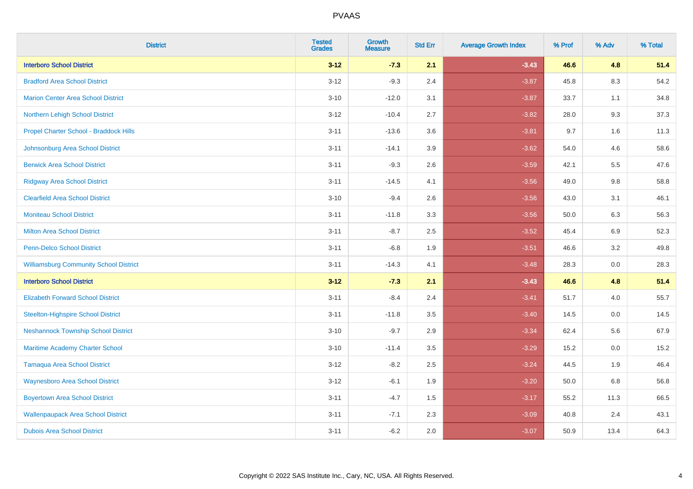| <b>District</b>                               | <b>Tested</b><br><b>Grades</b> | <b>Growth</b><br><b>Measure</b> | <b>Std Err</b> | <b>Average Growth Index</b> | % Prof | % Adv   | % Total |
|-----------------------------------------------|--------------------------------|---------------------------------|----------------|-----------------------------|--------|---------|---------|
| <b>Interboro School District</b>              | $3 - 12$                       | $-7.3$                          | 2.1            | $-3.43$                     | 46.6   | 4.8     | 51.4    |
| <b>Bradford Area School District</b>          | $3 - 12$                       | $-9.3$                          | 2.4            | $-3.87$                     | 45.8   | $8.3\,$ | 54.2    |
| <b>Marion Center Area School District</b>     | $3 - 10$                       | $-12.0$                         | 3.1            | $-3.87$                     | 33.7   | 1.1     | 34.8    |
| Northern Lehigh School District               | $3 - 12$                       | $-10.4$                         | 2.7            | $-3.82$                     | 28.0   | 9.3     | 37.3    |
| Propel Charter School - Braddock Hills        | $3 - 11$                       | $-13.6$                         | 3.6            | $-3.81$                     | 9.7    | 1.6     | 11.3    |
| Johnsonburg Area School District              | $3 - 11$                       | $-14.1$                         | 3.9            | $-3.62$                     | 54.0   | 4.6     | 58.6    |
| <b>Berwick Area School District</b>           | $3 - 11$                       | $-9.3$                          | 2.6            | $-3.59$                     | 42.1   | 5.5     | 47.6    |
| <b>Ridgway Area School District</b>           | $3 - 11$                       | $-14.5$                         | 4.1            | $-3.56$                     | 49.0   | 9.8     | 58.8    |
| <b>Clearfield Area School District</b>        | $3 - 10$                       | $-9.4$                          | 2.6            | $-3.56$                     | 43.0   | 3.1     | 46.1    |
| <b>Moniteau School District</b>               | $3 - 11$                       | $-11.8$                         | 3.3            | $-3.56$                     | 50.0   | 6.3     | 56.3    |
| <b>Milton Area School District</b>            | $3 - 11$                       | $-8.7$                          | 2.5            | $-3.52$                     | 45.4   | 6.9     | 52.3    |
| <b>Penn-Delco School District</b>             | $3 - 11$                       | $-6.8$                          | 1.9            | $-3.51$                     | 46.6   | 3.2     | 49.8    |
| <b>Williamsburg Community School District</b> | $3 - 11$                       | $-14.3$                         | 4.1            | $-3.48$                     | 28.3   | 0.0     | 28.3    |
| <b>Interboro School District</b>              | $3 - 12$                       | $-7.3$                          | 2.1            | $-3.43$                     | 46.6   | 4.8     | 51.4    |
| <b>Elizabeth Forward School District</b>      | $3 - 11$                       | $-8.4$                          | 2.4            | $-3.41$                     | 51.7   | 4.0     | 55.7    |
| <b>Steelton-Highspire School District</b>     | $3 - 11$                       | $-11.8$                         | 3.5            | $-3.40$                     | 14.5   | 0.0     | 14.5    |
| <b>Neshannock Township School District</b>    | $3 - 10$                       | $-9.7$                          | 2.9            | $-3.34$                     | 62.4   | 5.6     | 67.9    |
| Maritime Academy Charter School               | $3 - 10$                       | $-11.4$                         | 3.5            | $-3.29$                     | 15.2   | 0.0     | 15.2    |
| <b>Tamaqua Area School District</b>           | $3 - 12$                       | $-8.2$                          | 2.5            | $-3.24$                     | 44.5   | 1.9     | 46.4    |
| <b>Waynesboro Area School District</b>        | $3 - 12$                       | $-6.1$                          | 1.9            | $-3.20$                     | 50.0   | 6.8     | 56.8    |
| <b>Boyertown Area School District</b>         | $3 - 11$                       | $-4.7$                          | 1.5            | $-3.17$                     | 55.2   | 11.3    | 66.5    |
| <b>Wallenpaupack Area School District</b>     | $3 - 11$                       | $-7.1$                          | 2.3            | $-3.09$                     | 40.8   | 2.4     | 43.1    |
| <b>Dubois Area School District</b>            | $3 - 11$                       | $-6.2$                          | 2.0            | $-3.07$                     | 50.9   | 13.4    | 64.3    |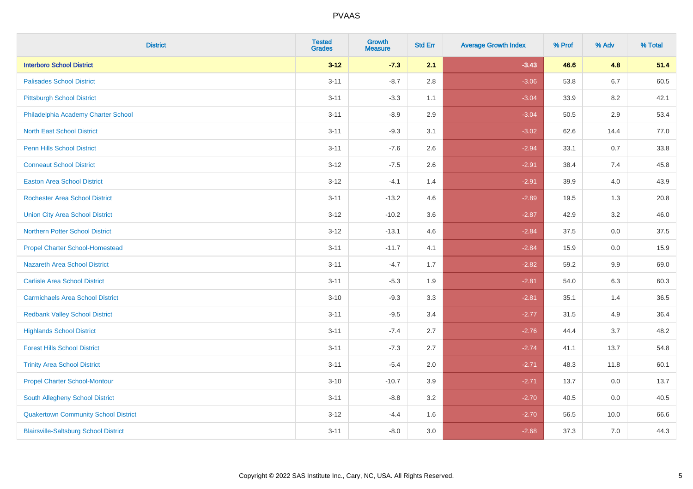| <b>District</b>                              | <b>Tested</b><br><b>Grades</b> | Growth<br><b>Measure</b> | <b>Std Err</b> | <b>Average Growth Index</b> | % Prof | % Adv   | % Total |
|----------------------------------------------|--------------------------------|--------------------------|----------------|-----------------------------|--------|---------|---------|
| <b>Interboro School District</b>             | $3 - 12$                       | $-7.3$                   | 2.1            | $-3.43$                     | 46.6   | 4.8     | 51.4    |
| <b>Palisades School District</b>             | $3 - 11$                       | $-8.7$                   | 2.8            | $-3.06$                     | 53.8   | 6.7     | 60.5    |
| <b>Pittsburgh School District</b>            | $3 - 11$                       | $-3.3$                   | 1.1            | $-3.04$                     | 33.9   | 8.2     | 42.1    |
| Philadelphia Academy Charter School          | $3 - 11$                       | $-8.9$                   | 2.9            | $-3.04$                     | 50.5   | $2.9\,$ | 53.4    |
| <b>North East School District</b>            | $3 - 11$                       | $-9.3$                   | 3.1            | $-3.02$                     | 62.6   | 14.4    | 77.0    |
| <b>Penn Hills School District</b>            | $3 - 11$                       | $-7.6$                   | 2.6            | $-2.94$                     | 33.1   | 0.7     | 33.8    |
| <b>Conneaut School District</b>              | $3 - 12$                       | $-7.5$                   | 2.6            | $-2.91$                     | 38.4   | 7.4     | 45.8    |
| <b>Easton Area School District</b>           | $3 - 12$                       | $-4.1$                   | 1.4            | $-2.91$                     | 39.9   | 4.0     | 43.9    |
| <b>Rochester Area School District</b>        | $3 - 11$                       | $-13.2$                  | 4.6            | $-2.89$                     | 19.5   | 1.3     | 20.8    |
| <b>Union City Area School District</b>       | $3 - 12$                       | $-10.2$                  | 3.6            | $-2.87$                     | 42.9   | $3.2\,$ | 46.0    |
| <b>Northern Potter School District</b>       | $3 - 12$                       | $-13.1$                  | 4.6            | $-2.84$                     | 37.5   | 0.0     | 37.5    |
| <b>Propel Charter School-Homestead</b>       | $3 - 11$                       | $-11.7$                  | 4.1            | $-2.84$                     | 15.9   | 0.0     | 15.9    |
| Nazareth Area School District                | $3 - 11$                       | $-4.7$                   | 1.7            | $-2.82$                     | 59.2   | 9.9     | 69.0    |
| <b>Carlisle Area School District</b>         | $3 - 11$                       | $-5.3$                   | 1.9            | $-2.81$                     | 54.0   | 6.3     | 60.3    |
| <b>Carmichaels Area School District</b>      | $3 - 10$                       | $-9.3$                   | 3.3            | $-2.81$                     | 35.1   | 1.4     | 36.5    |
| <b>Redbank Valley School District</b>        | $3 - 11$                       | $-9.5$                   | 3.4            | $-2.77$                     | 31.5   | 4.9     | 36.4    |
| <b>Highlands School District</b>             | $3 - 11$                       | $-7.4$                   | 2.7            | $-2.76$                     | 44.4   | 3.7     | 48.2    |
| <b>Forest Hills School District</b>          | $3 - 11$                       | $-7.3$                   | 2.7            | $-2.74$                     | 41.1   | 13.7    | 54.8    |
| <b>Trinity Area School District</b>          | $3 - 11$                       | $-5.4$                   | 2.0            | $-2.71$                     | 48.3   | 11.8    | 60.1    |
| <b>Propel Charter School-Montour</b>         | $3 - 10$                       | $-10.7$                  | 3.9            | $-2.71$                     | 13.7   | 0.0     | 13.7    |
| South Allegheny School District              | $3 - 11$                       | $-8.8$                   | 3.2            | $-2.70$                     | 40.5   | 0.0     | 40.5    |
| <b>Quakertown Community School District</b>  | $3 - 12$                       | $-4.4$                   | 1.6            | $-2.70$                     | 56.5   | 10.0    | 66.6    |
| <b>Blairsville-Saltsburg School District</b> | $3 - 11$                       | $-8.0$                   | 3.0            | $-2.68$                     | 37.3   | 7.0     | 44.3    |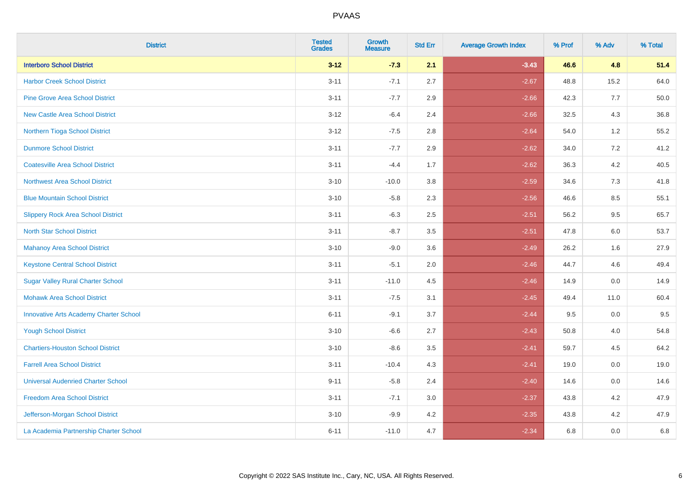| <b>District</b>                               | <b>Tested</b><br><b>Grades</b> | Growth<br><b>Measure</b> | <b>Std Err</b> | <b>Average Growth Index</b> | % Prof | % Adv   | % Total |
|-----------------------------------------------|--------------------------------|--------------------------|----------------|-----------------------------|--------|---------|---------|
| <b>Interboro School District</b>              | $3 - 12$                       | $-7.3$                   | 2.1            | $-3.43$                     | 46.6   | 4.8     | 51.4    |
| <b>Harbor Creek School District</b>           | $3 - 11$                       | $-7.1$                   | 2.7            | $-2.67$                     | 48.8   | 15.2    | 64.0    |
| <b>Pine Grove Area School District</b>        | $3 - 11$                       | $-7.7$                   | 2.9            | $-2.66$                     | 42.3   | 7.7     | 50.0    |
| <b>New Castle Area School District</b>        | $3-12$                         | $-6.4$                   | 2.4            | $-2.66$                     | 32.5   | $4.3$   | 36.8    |
| Northern Tioga School District                | $3 - 12$                       | $-7.5$                   | 2.8            | $-2.64$                     | 54.0   | 1.2     | 55.2    |
| <b>Dunmore School District</b>                | $3 - 11$                       | $-7.7$                   | 2.9            | $-2.62$                     | 34.0   | 7.2     | 41.2    |
| <b>Coatesville Area School District</b>       | $3 - 11$                       | $-4.4$                   | 1.7            | $-2.62$                     | 36.3   | $4.2\,$ | 40.5    |
| <b>Northwest Area School District</b>         | $3 - 10$                       | $-10.0$                  | 3.8            | $-2.59$                     | 34.6   | 7.3     | 41.8    |
| <b>Blue Mountain School District</b>          | $3 - 10$                       | $-5.8$                   | 2.3            | $-2.56$                     | 46.6   | 8.5     | 55.1    |
| <b>Slippery Rock Area School District</b>     | $3 - 11$                       | $-6.3$                   | 2.5            | $-2.51$                     | 56.2   | $9.5\,$ | 65.7    |
| <b>North Star School District</b>             | $3 - 11$                       | $-8.7$                   | 3.5            | $-2.51$                     | 47.8   | 6.0     | 53.7    |
| Mahanoy Area School District                  | $3 - 10$                       | $-9.0$                   | 3.6            | $-2.49$                     | 26.2   | 1.6     | 27.9    |
| <b>Keystone Central School District</b>       | $3 - 11$                       | $-5.1$                   | 2.0            | $-2.46$                     | 44.7   | 4.6     | 49.4    |
| <b>Sugar Valley Rural Charter School</b>      | $3 - 11$                       | $-11.0$                  | 4.5            | $-2.46$                     | 14.9   | $0.0\,$ | 14.9    |
| <b>Mohawk Area School District</b>            | $3 - 11$                       | $-7.5$                   | 3.1            | $-2.45$                     | 49.4   | 11.0    | 60.4    |
| <b>Innovative Arts Academy Charter School</b> | $6 - 11$                       | $-9.1$                   | 3.7            | $-2.44$                     | 9.5    | 0.0     | 9.5     |
| <b>Yough School District</b>                  | $3 - 10$                       | $-6.6$                   | 2.7            | $-2.43$                     | 50.8   | 4.0     | 54.8    |
| <b>Chartiers-Houston School District</b>      | $3 - 10$                       | $-8.6$                   | 3.5            | $-2.41$                     | 59.7   | 4.5     | 64.2    |
| <b>Farrell Area School District</b>           | $3 - 11$                       | $-10.4$                  | 4.3            | $-2.41$                     | 19.0   | 0.0     | 19.0    |
| <b>Universal Audenried Charter School</b>     | $9 - 11$                       | $-5.8$                   | 2.4            | $-2.40$                     | 14.6   | 0.0     | 14.6    |
| <b>Freedom Area School District</b>           | $3 - 11$                       | $-7.1$                   | 3.0            | $-2.37$                     | 43.8   | 4.2     | 47.9    |
| Jefferson-Morgan School District              | $3 - 10$                       | $-9.9$                   | 4.2            | $-2.35$                     | 43.8   | 4.2     | 47.9    |
| La Academia Partnership Charter School        | $6 - 11$                       | $-11.0$                  | 4.7            | $-2.34$                     | 6.8    | 0.0     | 6.8     |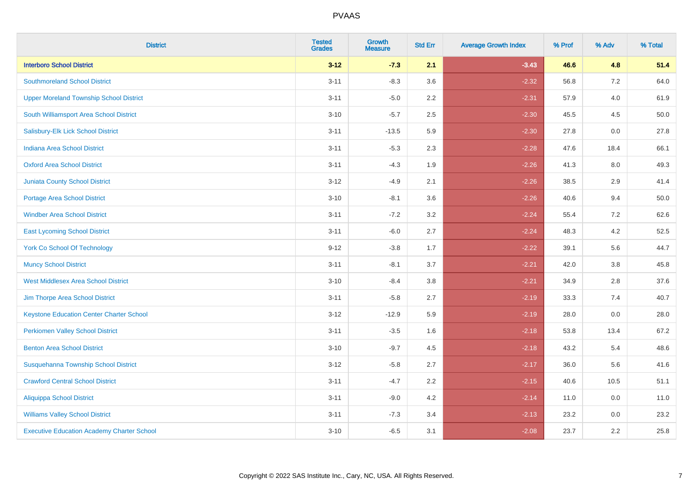| <b>District</b>                                   | <b>Tested</b><br><b>Grades</b> | <b>Growth</b><br><b>Measure</b> | <b>Std Err</b> | <b>Average Growth Index</b> | % Prof | % Adv | % Total |
|---------------------------------------------------|--------------------------------|---------------------------------|----------------|-----------------------------|--------|-------|---------|
| <b>Interboro School District</b>                  | $3 - 12$                       | $-7.3$                          | 2.1            | $-3.43$                     | 46.6   | 4.8   | 51.4    |
| <b>Southmoreland School District</b>              | $3 - 11$                       | $-8.3$                          | 3.6            | $-2.32$                     | 56.8   | 7.2   | 64.0    |
| <b>Upper Moreland Township School District</b>    | $3 - 11$                       | $-5.0$                          | 2.2            | $-2.31$                     | 57.9   | 4.0   | 61.9    |
| South Williamsport Area School District           | $3 - 10$                       | $-5.7$                          | 2.5            | $-2.30$                     | 45.5   | 4.5   | 50.0    |
| Salisbury-Elk Lick School District                | $3 - 11$                       | $-13.5$                         | 5.9            | $-2.30$                     | 27.8   | 0.0   | 27.8    |
| <b>Indiana Area School District</b>               | $3 - 11$                       | $-5.3$                          | 2.3            | $-2.28$                     | 47.6   | 18.4  | 66.1    |
| <b>Oxford Area School District</b>                | $3 - 11$                       | $-4.3$                          | 1.9            | $-2.26$                     | 41.3   | 8.0   | 49.3    |
| <b>Juniata County School District</b>             | $3 - 12$                       | $-4.9$                          | 2.1            | $-2.26$                     | 38.5   | 2.9   | 41.4    |
| Portage Area School District                      | $3 - 10$                       | $-8.1$                          | 3.6            | $-2.26$                     | 40.6   | 9.4   | 50.0    |
| <b>Windber Area School District</b>               | $3 - 11$                       | $-7.2$                          | 3.2            | $-2.24$                     | 55.4   | 7.2   | 62.6    |
| <b>East Lycoming School District</b>              | $3 - 11$                       | $-6.0$                          | 2.7            | $-2.24$                     | 48.3   | 4.2   | 52.5    |
| <b>York Co School Of Technology</b>               | $9 - 12$                       | $-3.8$                          | 1.7            | $-2.22$                     | 39.1   | 5.6   | 44.7    |
| <b>Muncy School District</b>                      | $3 - 11$                       | $-8.1$                          | 3.7            | $-2.21$                     | 42.0   | 3.8   | 45.8    |
| <b>West Middlesex Area School District</b>        | $3 - 10$                       | $-8.4$                          | 3.8            | $-2.21$                     | 34.9   | 2.8   | 37.6    |
| Jim Thorpe Area School District                   | $3 - 11$                       | $-5.8$                          | 2.7            | $-2.19$                     | 33.3   | 7.4   | 40.7    |
| <b>Keystone Education Center Charter School</b>   | $3 - 12$                       | $-12.9$                         | 5.9            | $-2.19$                     | 28.0   | 0.0   | 28.0    |
| <b>Perkiomen Valley School District</b>           | $3 - 11$                       | $-3.5$                          | 1.6            | $-2.18$                     | 53.8   | 13.4  | 67.2    |
| <b>Benton Area School District</b>                | $3 - 10$                       | $-9.7$                          | 4.5            | $-2.18$                     | 43.2   | 5.4   | 48.6    |
| Susquehanna Township School District              | $3 - 12$                       | $-5.8$                          | 2.7            | $-2.17$                     | 36.0   | 5.6   | 41.6    |
| <b>Crawford Central School District</b>           | $3 - 11$                       | $-4.7$                          | 2.2            | $-2.15$                     | 40.6   | 10.5  | 51.1    |
| Aliquippa School District                         | $3 - 11$                       | $-9.0$                          | 4.2            | $-2.14$                     | 11.0   | 0.0   | 11.0    |
| <b>Williams Valley School District</b>            | $3 - 11$                       | $-7.3$                          | 3.4            | $-2.13$                     | 23.2   | 0.0   | 23.2    |
| <b>Executive Education Academy Charter School</b> | $3 - 10$                       | $-6.5$                          | 3.1            | $-2.08$                     | 23.7   | 2.2   | 25.8    |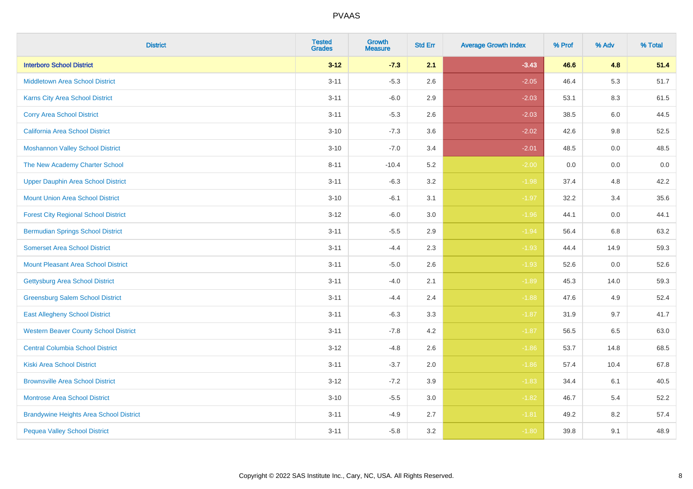| <b>District</b>                                | <b>Tested</b><br><b>Grades</b> | Growth<br><b>Measure</b> | <b>Std Err</b> | <b>Average Growth Index</b> | % Prof | % Adv   | % Total |
|------------------------------------------------|--------------------------------|--------------------------|----------------|-----------------------------|--------|---------|---------|
| <b>Interboro School District</b>               | $3 - 12$                       | $-7.3$                   | 2.1            | $-3.43$                     | 46.6   | 4.8     | 51.4    |
| Middletown Area School District                | $3 - 11$                       | $-5.3$                   | 2.6            | $-2.05$                     | 46.4   | 5.3     | 51.7    |
| <b>Karns City Area School District</b>         | $3 - 11$                       | $-6.0$                   | 2.9            | $-2.03$                     | 53.1   | 8.3     | 61.5    |
| <b>Corry Area School District</b>              | $3 - 11$                       | $-5.3$                   | 2.6            | $-2.03$                     | 38.5   | 6.0     | 44.5    |
| <b>California Area School District</b>         | $3 - 10$                       | $-7.3$                   | 3.6            | $-2.02$                     | 42.6   | 9.8     | 52.5    |
| <b>Moshannon Valley School District</b>        | $3 - 10$                       | $-7.0$                   | 3.4            | $-2.01$                     | 48.5   | 0.0     | 48.5    |
| The New Academy Charter School                 | $8 - 11$                       | $-10.4$                  | 5.2            | $-2.00$                     | 0.0    | $0.0\,$ | $0.0\,$ |
| <b>Upper Dauphin Area School District</b>      | $3 - 11$                       | $-6.3$                   | 3.2            | $-1.98$                     | 37.4   | 4.8     | 42.2    |
| <b>Mount Union Area School District</b>        | $3 - 10$                       | $-6.1$                   | 3.1            | $-1.97$                     | 32.2   | 3.4     | 35.6    |
| <b>Forest City Regional School District</b>    | $3 - 12$                       | $-6.0$                   | 3.0            | $-1.96$                     | 44.1   | 0.0     | 44.1    |
| <b>Bermudian Springs School District</b>       | $3 - 11$                       | $-5.5$                   | 2.9            | $-1.94$                     | 56.4   | 6.8     | 63.2    |
| <b>Somerset Area School District</b>           | $3 - 11$                       | $-4.4$                   | 2.3            | $-1.93$                     | 44.4   | 14.9    | 59.3    |
| <b>Mount Pleasant Area School District</b>     | $3 - 11$                       | $-5.0$                   | 2.6            | $-1.93$                     | 52.6   | 0.0     | 52.6    |
| <b>Gettysburg Area School District</b>         | $3 - 11$                       | $-4.0$                   | 2.1            | $-1.89$                     | 45.3   | 14.0    | 59.3    |
| <b>Greensburg Salem School District</b>        | $3 - 11$                       | $-4.4$                   | 2.4            | $-1.88$                     | 47.6   | 4.9     | 52.4    |
| <b>East Allegheny School District</b>          | $3 - 11$                       | $-6.3$                   | 3.3            | $-1.87$                     | 31.9   | 9.7     | 41.7    |
| <b>Western Beaver County School District</b>   | $3 - 11$                       | $-7.8$                   | 4.2            | $-1.87$                     | 56.5   | 6.5     | 63.0    |
| <b>Central Columbia School District</b>        | $3-12$                         | $-4.8$                   | 2.6            | $-1.86$                     | 53.7   | 14.8    | 68.5    |
| <b>Kiski Area School District</b>              | $3 - 11$                       | $-3.7$                   | 2.0            | $-1.86$                     | 57.4   | 10.4    | 67.8    |
| <b>Brownsville Area School District</b>        | $3-12$                         | $-7.2$                   | 3.9            | $-1.83$                     | 34.4   | 6.1     | 40.5    |
| <b>Montrose Area School District</b>           | $3 - 10$                       | $-5.5$                   | 3.0            | $-1.82$                     | 46.7   | 5.4     | 52.2    |
| <b>Brandywine Heights Area School District</b> | $3 - 11$                       | $-4.9$                   | 2.7            | $-1.81$                     | 49.2   | 8.2     | 57.4    |
| <b>Pequea Valley School District</b>           | $3 - 11$                       | $-5.8$                   | 3.2            | $-1.80$                     | 39.8   | 9.1     | 48.9    |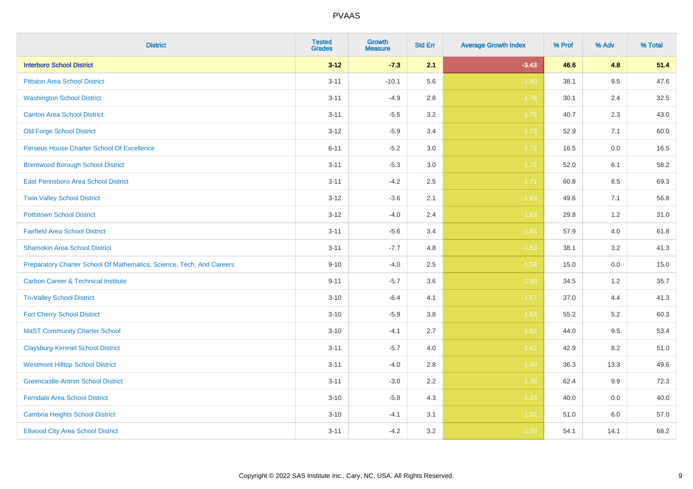| <b>District</b>                                                       | <b>Tested</b><br><b>Grades</b> | Growth<br><b>Measure</b> | <b>Std Err</b> | <b>Average Growth Index</b> | % Prof | % Adv | % Total |
|-----------------------------------------------------------------------|--------------------------------|--------------------------|----------------|-----------------------------|--------|-------|---------|
| <b>Interboro School District</b>                                      | $3 - 12$                       | $-7.3$                   | 2.1            | $-3.43$                     | 46.6   | 4.8   | 51.4    |
| <b>Pittston Area School District</b>                                  | $3 - 11$                       | $-10.1$                  | 5.6            | $-1.80$                     | 38.1   | 9.5   | 47.6    |
| <b>Washington School District</b>                                     | $3 - 11$                       | $-4.9$                   | 2.8            | $-1.76$                     | 30.1   | 2.4   | 32.5    |
| <b>Canton Area School District</b>                                    | $3 - 11$                       | $-5.5$                   | $3.2\,$        | $-1.75$                     | 40.7   | 2.3   | 43.0    |
| <b>Old Forge School District</b>                                      | $3 - 12$                       | $-5.9$                   | 3.4            | $-1.73$                     | 52.9   | 7.1   | 60.0    |
| Perseus House Charter School Of Excellence                            | $6 - 11$                       | $-5.2$                   | 3.0            | $-1.72$                     | 16.5   | 0.0   | 16.5    |
| <b>Brentwood Borough School District</b>                              | $3 - 11$                       | $-5.3$                   | $3.0\,$        | $-1.72$                     | 52.0   | 6.1   | 58.2    |
| East Pennsboro Area School District                                   | $3 - 11$                       | $-4.2$                   | 2.5            | $-1.71$                     | 60.8   | 8.5   | 69.3    |
| <b>Twin Valley School District</b>                                    | $3-12$                         | $-3.6$                   | 2.1            | $-1.69$                     | 49.6   | 7.1   | 56.8    |
| <b>Pottstown School District</b>                                      | $3 - 12$                       | $-4.0$                   | 2.4            | $-1.68$                     | 29.8   | 1.2   | 31.0    |
| <b>Fairfield Area School District</b>                                 | $3 - 11$                       | $-5.6$                   | 3.4            | $-1.66$                     | 57.9   | 4.0   | 61.8    |
| <b>Shamokin Area School District</b>                                  | $3 - 11$                       | $-7.7$                   | 4.8            | $-1.60$                     | 38.1   | 3.2   | 41.3    |
| Preparatory Charter School Of Mathematics, Science, Tech, And Careers | $9 - 10$                       | $-4.0$                   | 2.5            | $-1.59$                     | 15.0   | 0.0   | 15.0    |
| <b>Carbon Career &amp; Technical Institute</b>                        | $9 - 11$                       | $-5.7$                   | 3.6            | $-1.59$                     | 34.5   | 1.2   | 35.7    |
| <b>Tri-Valley School District</b>                                     | $3 - 10$                       | $-6.4$                   | 4.1            | $-1.57$                     | 37.0   | 4.4   | 41.3    |
| <b>Fort Cherry School District</b>                                    | $3 - 10$                       | $-5.9$                   | 3.8            | $-1.56$                     | 55.2   | 5.2   | 60.3    |
| <b>MaST Community Charter School</b>                                  | $3 - 10$                       | $-4.1$                   | 2.7            | $-1.52$                     | 44.0   | 9.5   | 53.4    |
| <b>Claysburg-Kimmel School District</b>                               | $3 - 11$                       | $-5.7$                   | 4.0            | $-1.42$                     | 42.9   | 8.2   | 51.0    |
| <b>Westmont Hilltop School District</b>                               | $3 - 11$                       | $-4.0$                   | 2.8            | $-1.40$                     | 36.3   | 13.3  | 49.6    |
| <b>Greencastle-Antrim School District</b>                             | $3 - 11$                       | $-3.0$                   | 2.2            | $-1.36$                     | 62.4   | 9.9   | 72.3    |
| <b>Ferndale Area School District</b>                                  | $3 - 10$                       | $-5.8$                   | 4.3            | $-1.33$                     | 40.0   | 0.0   | 40.0    |
| <b>Cambria Heights School District</b>                                | $3 - 10$                       | $-4.1$                   | 3.1            | $-1.32$                     | 51.0   | 6.0   | 57.0    |
| <b>Ellwood City Area School District</b>                              | $3 - 11$                       | $-4.2$                   | 3.2            | $-1.29$                     | 54.1   | 14.1  | 68.2    |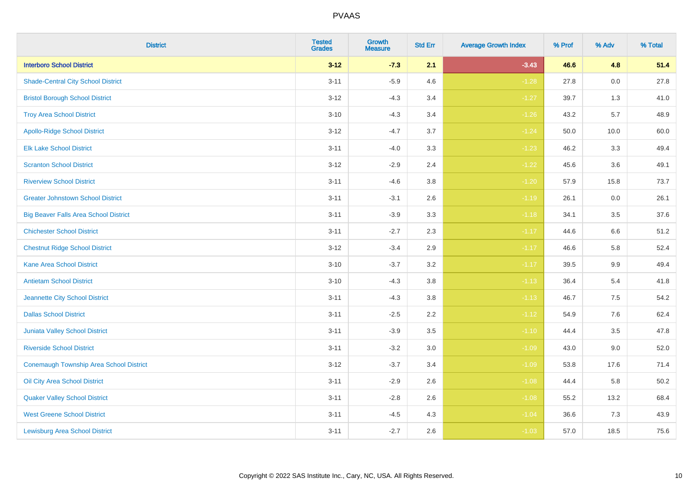| <b>District</b>                              | <b>Tested</b><br><b>Grades</b> | <b>Growth</b><br><b>Measure</b> | <b>Std Err</b> | <b>Average Growth Index</b> | % Prof | % Adv | % Total |
|----------------------------------------------|--------------------------------|---------------------------------|----------------|-----------------------------|--------|-------|---------|
| <b>Interboro School District</b>             | $3 - 12$                       | $-7.3$                          | 2.1            | $-3.43$                     | 46.6   | 4.8   | 51.4    |
| <b>Shade-Central City School District</b>    | $3 - 11$                       | $-5.9$                          | 4.6            | $-1.28$                     | 27.8   | 0.0   | 27.8    |
| <b>Bristol Borough School District</b>       | $3 - 12$                       | $-4.3$                          | 3.4            | $-1.27$                     | 39.7   | 1.3   | 41.0    |
| <b>Troy Area School District</b>             | $3 - 10$                       | $-4.3$                          | 3.4            | $-1.26$                     | 43.2   | 5.7   | 48.9    |
| <b>Apollo-Ridge School District</b>          | $3 - 12$                       | $-4.7$                          | 3.7            | $-1.24$                     | 50.0   | 10.0  | 60.0    |
| <b>Elk Lake School District</b>              | $3 - 11$                       | $-4.0$                          | 3.3            | $-1.23$                     | 46.2   | 3.3   | 49.4    |
| <b>Scranton School District</b>              | $3 - 12$                       | $-2.9$                          | 2.4            | $-1.22$                     | 45.6   | 3.6   | 49.1    |
| <b>Riverview School District</b>             | $3 - 11$                       | $-4.6$                          | 3.8            | $-1.20$                     | 57.9   | 15.8  | 73.7    |
| <b>Greater Johnstown School District</b>     | $3 - 11$                       | $-3.1$                          | 2.6            | $-1.19$                     | 26.1   | 0.0   | 26.1    |
| <b>Big Beaver Falls Area School District</b> | $3 - 11$                       | $-3.9$                          | 3.3            | $-1.18$                     | 34.1   | 3.5   | 37.6    |
| <b>Chichester School District</b>            | $3 - 11$                       | $-2.7$                          | 2.3            | $-1.17$                     | 44.6   | 6.6   | 51.2    |
| <b>Chestnut Ridge School District</b>        | $3 - 12$                       | $-3.4$                          | 2.9            | $-1.17$                     | 46.6   | 5.8   | 52.4    |
| <b>Kane Area School District</b>             | $3 - 10$                       | $-3.7$                          | 3.2            | $-1.17$                     | 39.5   | 9.9   | 49.4    |
| <b>Antietam School District</b>              | $3 - 10$                       | $-4.3$                          | 3.8            | $-1.13$                     | 36.4   | $5.4$ | 41.8    |
| Jeannette City School District               | $3 - 11$                       | $-4.3$                          | 3.8            | $-1.13$                     | 46.7   | 7.5   | 54.2    |
| <b>Dallas School District</b>                | $3 - 11$                       | $-2.5$                          | 2.2            | $-1.12$                     | 54.9   | 7.6   | 62.4    |
| Juniata Valley School District               | $3 - 11$                       | $-3.9$                          | 3.5            | $-1.10$                     | 44.4   | 3.5   | 47.8    |
| <b>Riverside School District</b>             | $3 - 11$                       | $-3.2$                          | 3.0            | $-1.09$                     | 43.0   | 9.0   | 52.0    |
| Conemaugh Township Area School District      | $3 - 12$                       | $-3.7$                          | 3.4            | $-1.09$                     | 53.8   | 17.6  | 71.4    |
| Oil City Area School District                | $3 - 11$                       | $-2.9$                          | 2.6            | $-1.08$                     | 44.4   | 5.8   | 50.2    |
| <b>Quaker Valley School District</b>         | $3 - 11$                       | $-2.8$                          | 2.6            | $-1.08$                     | 55.2   | 13.2  | 68.4    |
| <b>West Greene School District</b>           | $3 - 11$                       | $-4.5$                          | 4.3            | $-1.04$                     | 36.6   | 7.3   | 43.9    |
| <b>Lewisburg Area School District</b>        | $3 - 11$                       | $-2.7$                          | 2.6            | $-1.03$                     | 57.0   | 18.5  | 75.6    |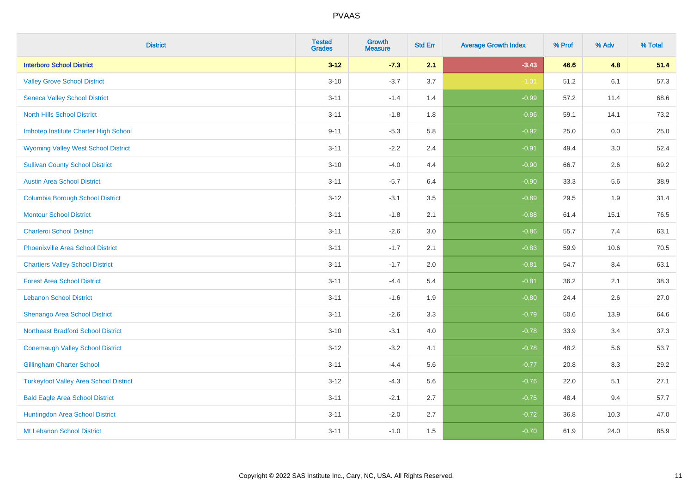| <b>District</b>                               | <b>Tested</b><br><b>Grades</b> | <b>Growth</b><br><b>Measure</b> | <b>Std Err</b> | <b>Average Growth Index</b> | % Prof | % Adv | % Total |
|-----------------------------------------------|--------------------------------|---------------------------------|----------------|-----------------------------|--------|-------|---------|
| <b>Interboro School District</b>              | $3 - 12$                       | $-7.3$                          | 2.1            | $-3.43$                     | 46.6   | 4.8   | 51.4    |
| <b>Valley Grove School District</b>           | $3 - 10$                       | $-3.7$                          | 3.7            | $-1.01$                     | 51.2   | 6.1   | 57.3    |
| <b>Seneca Valley School District</b>          | $3 - 11$                       | $-1.4$                          | 1.4            | $-0.99$                     | 57.2   | 11.4  | 68.6    |
| <b>North Hills School District</b>            | $3 - 11$                       | $-1.8$                          | 1.8            | $-0.96$                     | 59.1   | 14.1  | 73.2    |
| Imhotep Institute Charter High School         | $9 - 11$                       | $-5.3$                          | 5.8            | $-0.92$                     | 25.0   | 0.0   | 25.0    |
| <b>Wyoming Valley West School District</b>    | $3 - 11$                       | $-2.2$                          | 2.4            | $-0.91$                     | 49.4   | 3.0   | 52.4    |
| <b>Sullivan County School District</b>        | $3 - 10$                       | $-4.0$                          | 4.4            | $-0.90$                     | 66.7   | 2.6   | 69.2    |
| <b>Austin Area School District</b>            | $3 - 11$                       | $-5.7$                          | 6.4            | $-0.90$                     | 33.3   | 5.6   | 38.9    |
| <b>Columbia Borough School District</b>       | $3 - 12$                       | $-3.1$                          | 3.5            | $-0.89$                     | 29.5   | 1.9   | 31.4    |
| <b>Montour School District</b>                | $3 - 11$                       | $-1.8$                          | 2.1            | $-0.88$                     | 61.4   | 15.1  | 76.5    |
| <b>Charleroi School District</b>              | $3 - 11$                       | $-2.6$                          | 3.0            | $-0.86$                     | 55.7   | 7.4   | 63.1    |
| <b>Phoenixville Area School District</b>      | $3 - 11$                       | $-1.7$                          | 2.1            | $-0.83$                     | 59.9   | 10.6  | 70.5    |
| <b>Chartiers Valley School District</b>       | $3 - 11$                       | $-1.7$                          | 2.0            | $-0.81$                     | 54.7   | 8.4   | 63.1    |
| <b>Forest Area School District</b>            | $3 - 11$                       | $-4.4$                          | 5.4            | $-0.81$                     | 36.2   | 2.1   | 38.3    |
| <b>Lebanon School District</b>                | $3 - 11$                       | $-1.6$                          | 1.9            | $-0.80$                     | 24.4   | 2.6   | 27.0    |
| Shenango Area School District                 | $3 - 11$                       | $-2.6$                          | 3.3            | $-0.79$                     | 50.6   | 13.9  | 64.6    |
| <b>Northeast Bradford School District</b>     | $3 - 10$                       | $-3.1$                          | 4.0            | $-0.78$                     | 33.9   | 3.4   | 37.3    |
| <b>Conemaugh Valley School District</b>       | $3 - 12$                       | $-3.2$                          | 4.1            | $-0.78$                     | 48.2   | 5.6   | 53.7    |
| <b>Gillingham Charter School</b>              | $3 - 11$                       | $-4.4$                          | 5.6            | $-0.77$                     | 20.8   | 8.3   | 29.2    |
| <b>Turkeyfoot Valley Area School District</b> | $3 - 12$                       | $-4.3$                          | 5.6            | $-0.76$                     | 22.0   | 5.1   | 27.1    |
| <b>Bald Eagle Area School District</b>        | $3 - 11$                       | $-2.1$                          | 2.7            | $-0.75$                     | 48.4   | 9.4   | 57.7    |
| Huntingdon Area School District               | $3 - 11$                       | $-2.0$                          | 2.7            | $-0.72$                     | 36.8   | 10.3  | 47.0    |
| Mt Lebanon School District                    | $3 - 11$                       | $-1.0$                          | 1.5            | $-0.70$                     | 61.9   | 24.0  | 85.9    |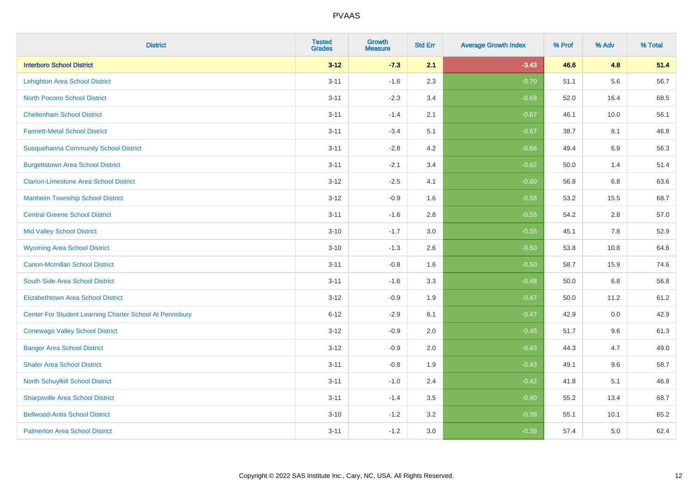| <b>District</b>                                         | <b>Tested</b><br><b>Grades</b> | Growth<br><b>Measure</b> | <b>Std Err</b> | <b>Average Growth Index</b> | % Prof | % Adv   | % Total |
|---------------------------------------------------------|--------------------------------|--------------------------|----------------|-----------------------------|--------|---------|---------|
| <b>Interboro School District</b>                        | $3 - 12$                       | $-7.3$                   | 2.1            | $-3.43$                     | 46.6   | 4.8     | 51.4    |
| <b>Lehighton Area School District</b>                   | $3 - 11$                       | $-1.6$                   | 2.3            | $-0.70$                     | 51.1   | 5.6     | 56.7    |
| <b>North Pocono School District</b>                     | $3 - 11$                       | $-2.3$                   | 3.4            | $-0.68$                     | 52.0   | 16.4    | 68.5    |
| <b>Cheltenham School District</b>                       | $3 - 11$                       | $-1.4$                   | 2.1            | $-0.67$                     | 46.1   | 10.0    | 56.1    |
| <b>Fannett-Metal School District</b>                    | $3 - 11$                       | $-3.4$                   | 5.1            | $-0.67$                     | 38.7   | 8.1     | 46.8    |
| <b>Susquehanna Community School District</b>            | $3 - 11$                       | $-2.8$                   | 4.2            | $-0.66$                     | 49.4   | 6.9     | 56.3    |
| <b>Burgettstown Area School District</b>                | $3 - 11$                       | $-2.1$                   | 3.4            | $-0.62$                     | 50.0   | 1.4     | 51.4    |
| <b>Clarion-Limestone Area School District</b>           | $3-12$                         | $-2.5$                   | 4.1            | $-0.60$                     | 56.8   | 6.8     | 63.6    |
| <b>Manheim Township School District</b>                 | $3 - 12$                       | $-0.9$                   | 1.6            | $-0.58$                     | 53.2   | 15.5    | 68.7    |
| <b>Central Greene School District</b>                   | $3 - 11$                       | $-1.6$                   | 2.8            | $-0.55$                     | 54.2   | 2.8     | 57.0    |
| <b>Mid Valley School District</b>                       | $3 - 10$                       | $-1.7$                   | 3.0            | $-0.55$                     | 45.1   | $7.8\,$ | 52.9    |
| <b>Wyoming Area School District</b>                     | $3 - 10$                       | $-1.3$                   | 2.6            | $-0.50$                     | 53.8   | 10.8    | 64.6    |
| <b>Canon-Mcmillan School District</b>                   | $3 - 11$                       | $-0.8$                   | 1.6            | $-0.50$                     | 58.7   | 15.9    | 74.6    |
| South Side Area School District                         | $3 - 11$                       | $-1.6$                   | 3.3            | $-0.48$                     | 50.0   | 6.8     | 56.8    |
| <b>Elizabethtown Area School District</b>               | $3 - 12$                       | $-0.9$                   | 1.9            | $-0.47$                     | 50.0   | 11.2    | 61.2    |
| Center For Student Learning Charter School At Pennsbury | $6 - 12$                       | $-2.9$                   | 6.1            | $-0.47$                     | 42.9   | 0.0     | 42.9    |
| <b>Conewago Valley School District</b>                  | $3 - 12$                       | $-0.9$                   | 2.0            | $-0.45$                     | 51.7   | 9.6     | 61.3    |
| <b>Bangor Area School District</b>                      | $3 - 12$                       | $-0.9$                   | 2.0            | $-0.43$                     | 44.3   | 4.7     | 49.0    |
| <b>Shaler Area School District</b>                      | $3 - 11$                       | $-0.8$                   | 1.9            | $-0.43$                     | 49.1   | 9.6     | 58.7    |
| North Schuylkill School District                        | $3 - 11$                       | $-1.0$                   | 2.4            | $-0.42$                     | 41.8   | 5.1     | 46.8    |
| <b>Sharpsville Area School District</b>                 | $3 - 11$                       | $-1.4$                   | 3.5            | $-0.40$                     | 55.2   | 13.4    | 68.7    |
| <b>Bellwood-Antis School District</b>                   | $3 - 10$                       | $-1.2$                   | 3.2            | $-0.39$                     | 55.1   | 10.1    | 65.2    |
| <b>Palmerton Area School District</b>                   | $3 - 11$                       | $-1.2$                   | 3.0            | $-0.39$                     | 57.4   | 5.0     | 62.4    |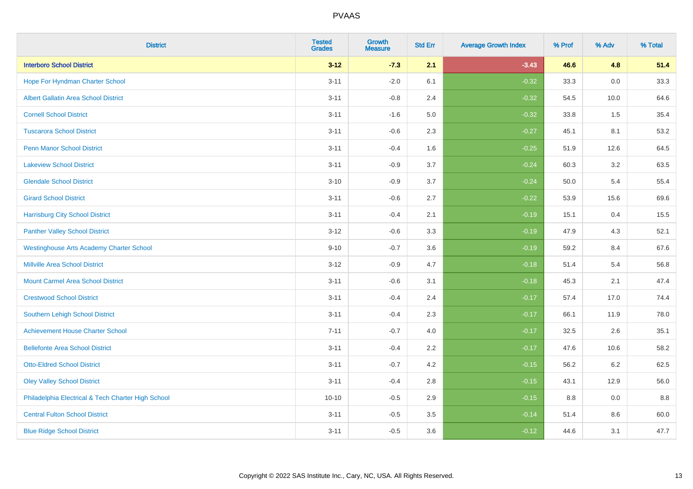| <b>District</b>                                    | <b>Tested</b><br><b>Grades</b> | Growth<br><b>Measure</b> | <b>Std Err</b> | <b>Average Growth Index</b> | % Prof | % Adv   | % Total |
|----------------------------------------------------|--------------------------------|--------------------------|----------------|-----------------------------|--------|---------|---------|
| <b>Interboro School District</b>                   | $3 - 12$                       | $-7.3$                   | 2.1            | $-3.43$                     | 46.6   | 4.8     | 51.4    |
| Hope For Hyndman Charter School                    | $3 - 11$                       | $-2.0$                   | 6.1            | $-0.32$                     | 33.3   | 0.0     | 33.3    |
| <b>Albert Gallatin Area School District</b>        | $3 - 11$                       | $-0.8$                   | 2.4            | $-0.32$                     | 54.5   | 10.0    | 64.6    |
| <b>Cornell School District</b>                     | $3 - 11$                       | $-1.6$                   | 5.0            | $-0.32$                     | 33.8   | 1.5     | 35.4    |
| <b>Tuscarora School District</b>                   | $3 - 11$                       | $-0.6$                   | 2.3            | $-0.27$                     | 45.1   | 8.1     | 53.2    |
| <b>Penn Manor School District</b>                  | $3 - 11$                       | $-0.4$                   | 1.6            | $-0.25$                     | 51.9   | 12.6    | 64.5    |
| <b>Lakeview School District</b>                    | $3 - 11$                       | $-0.9$                   | 3.7            | $-0.24$                     | 60.3   | 3.2     | 63.5    |
| <b>Glendale School District</b>                    | $3 - 10$                       | $-0.9$                   | 3.7            | $-0.24$                     | 50.0   | 5.4     | 55.4    |
| <b>Girard School District</b>                      | $3 - 11$                       | $-0.6$                   | 2.7            | $-0.22$                     | 53.9   | 15.6    | 69.6    |
| <b>Harrisburg City School District</b>             | $3 - 11$                       | $-0.4$                   | 2.1            | $-0.19$                     | 15.1   | 0.4     | 15.5    |
| <b>Panther Valley School District</b>              | $3 - 12$                       | $-0.6$                   | 3.3            | $-0.19$                     | 47.9   | 4.3     | 52.1    |
| <b>Westinghouse Arts Academy Charter School</b>    | $9 - 10$                       | $-0.7$                   | 3.6            | $-0.19$                     | 59.2   | 8.4     | 67.6    |
| <b>Millville Area School District</b>              | $3 - 12$                       | $-0.9$                   | 4.7            | $-0.18$                     | 51.4   | 5.4     | 56.8    |
| <b>Mount Carmel Area School District</b>           | $3 - 11$                       | $-0.6$                   | 3.1            | $-0.18$                     | 45.3   | 2.1     | 47.4    |
| <b>Crestwood School District</b>                   | $3 - 11$                       | $-0.4$                   | 2.4            | $-0.17$                     | 57.4   | 17.0    | 74.4    |
| Southern Lehigh School District                    | $3 - 11$                       | $-0.4$                   | 2.3            | $-0.17$                     | 66.1   | 11.9    | 78.0    |
| <b>Achievement House Charter School</b>            | $7 - 11$                       | $-0.7$                   | 4.0            | $-0.17$                     | 32.5   | 2.6     | 35.1    |
| <b>Bellefonte Area School District</b>             | $3 - 11$                       | $-0.4$                   | 2.2            | $-0.17$                     | 47.6   | 10.6    | 58.2    |
| <b>Otto-Eldred School District</b>                 | $3 - 11$                       | $-0.7$                   | 4.2            | $-0.15$                     | 56.2   | $6.2\,$ | 62.5    |
| <b>Oley Valley School District</b>                 | $3 - 11$                       | $-0.4$                   | 2.8            | $-0.15$                     | 43.1   | 12.9    | 56.0    |
| Philadelphia Electrical & Tech Charter High School | $10 - 10$                      | $-0.5$                   | 2.9            | $-0.15$                     | 8.8    | 0.0     | 8.8     |
| <b>Central Fulton School District</b>              | $3 - 11$                       | $-0.5$                   | 3.5            | $-0.14$                     | 51.4   | 8.6     | 60.0    |
| <b>Blue Ridge School District</b>                  | $3 - 11$                       | $-0.5$                   | 3.6            | $-0.12$                     | 44.6   | 3.1     | 47.7    |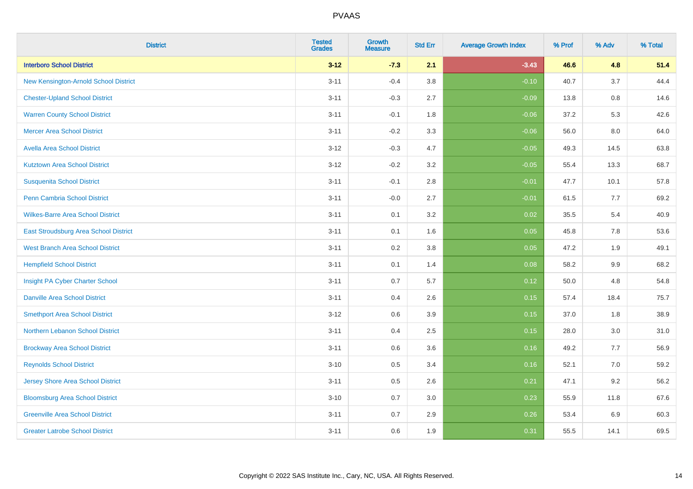| <b>District</b>                          | <b>Tested</b><br><b>Grades</b> | Growth<br><b>Measure</b> | <b>Std Err</b> | <b>Average Growth Index</b> | % Prof | % Adv   | % Total |
|------------------------------------------|--------------------------------|--------------------------|----------------|-----------------------------|--------|---------|---------|
| <b>Interboro School District</b>         | $3 - 12$                       | $-7.3$                   | 2.1            | $-3.43$                     | 46.6   | 4.8     | 51.4    |
| New Kensington-Arnold School District    | $3 - 11$                       | $-0.4$                   | 3.8            | $-0.10$                     | 40.7   | 3.7     | 44.4    |
| <b>Chester-Upland School District</b>    | $3 - 11$                       | $-0.3$                   | 2.7            | $-0.09$                     | 13.8   | 0.8     | 14.6    |
| <b>Warren County School District</b>     | $3 - 11$                       | $-0.1$                   | 1.8            | $-0.06$                     | 37.2   | 5.3     | 42.6    |
| <b>Mercer Area School District</b>       | $3 - 11$                       | $-0.2$                   | 3.3            | $-0.06$                     | 56.0   | 8.0     | 64.0    |
| <b>Avella Area School District</b>       | $3 - 12$                       | $-0.3$                   | 4.7            | $-0.05$                     | 49.3   | 14.5    | 63.8    |
| <b>Kutztown Area School District</b>     | $3 - 12$                       | $-0.2$                   | 3.2            | $-0.05$                     | 55.4   | 13.3    | 68.7    |
| <b>Susquenita School District</b>        | $3 - 11$                       | $-0.1$                   | 2.8            | $-0.01$                     | 47.7   | 10.1    | 57.8    |
| <b>Penn Cambria School District</b>      | $3 - 11$                       | $-0.0$                   | 2.7            | $-0.01$                     | 61.5   | 7.7     | 69.2    |
| <b>Wilkes-Barre Area School District</b> | $3 - 11$                       | 0.1                      | 3.2            | 0.02                        | 35.5   | 5.4     | 40.9    |
| East Stroudsburg Area School District    | $3 - 11$                       | 0.1                      | 1.6            | 0.05                        | 45.8   | 7.8     | 53.6    |
| <b>West Branch Area School District</b>  | $3 - 11$                       | 0.2                      | 3.8            | 0.05                        | 47.2   | 1.9     | 49.1    |
| <b>Hempfield School District</b>         | $3 - 11$                       | 0.1                      | 1.4            | 0.08                        | 58.2   | $9.9\,$ | 68.2    |
| Insight PA Cyber Charter School          | $3 - 11$                       | 0.7                      | 5.7            | 0.12                        | 50.0   | 4.8     | 54.8    |
| <b>Danville Area School District</b>     | $3 - 11$                       | 0.4                      | 2.6            | 0.15                        | 57.4   | 18.4    | 75.7    |
| <b>Smethport Area School District</b>    | $3 - 12$                       | 0.6                      | 3.9            | 0.15                        | 37.0   | 1.8     | 38.9    |
| Northern Lebanon School District         | $3 - 11$                       | 0.4                      | 2.5            | 0.15                        | 28.0   | 3.0     | 31.0    |
| <b>Brockway Area School District</b>     | $3 - 11$                       | 0.6                      | 3.6            | 0.16                        | 49.2   | 7.7     | 56.9    |
| <b>Reynolds School District</b>          | $3 - 10$                       | 0.5                      | 3.4            | 0.16                        | 52.1   | 7.0     | 59.2    |
| <b>Jersey Shore Area School District</b> | $3 - 11$                       | 0.5                      | 2.6            | 0.21                        | 47.1   | 9.2     | 56.2    |
| <b>Bloomsburg Area School District</b>   | $3 - 10$                       | 0.7                      | 3.0            | 0.23                        | 55.9   | 11.8    | 67.6    |
| <b>Greenville Area School District</b>   | $3 - 11$                       | 0.7                      | 2.9            | 0.26                        | 53.4   | 6.9     | 60.3    |
| <b>Greater Latrobe School District</b>   | $3 - 11$                       | 0.6                      | 1.9            | 0.31                        | 55.5   | 14.1    | 69.5    |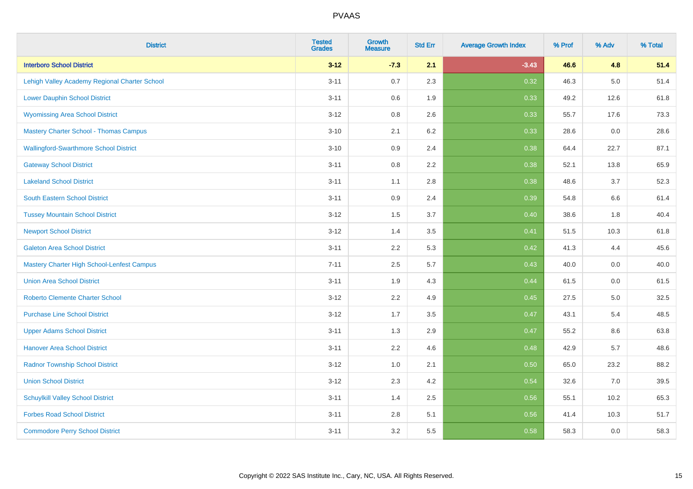| <b>District</b>                                   | <b>Tested</b><br><b>Grades</b> | <b>Growth</b><br><b>Measure</b> | <b>Std Err</b> | <b>Average Growth Index</b> | % Prof | % Adv   | % Total |
|---------------------------------------------------|--------------------------------|---------------------------------|----------------|-----------------------------|--------|---------|---------|
| <b>Interboro School District</b>                  | $3 - 12$                       | $-7.3$                          | 2.1            | $-3.43$                     | 46.6   | 4.8     | 51.4    |
| Lehigh Valley Academy Regional Charter School     | $3 - 11$                       | 0.7                             | 2.3            | 0.32                        | 46.3   | $5.0\,$ | 51.4    |
| <b>Lower Dauphin School District</b>              | $3 - 11$                       | 0.6                             | 1.9            | 0.33                        | 49.2   | 12.6    | 61.8    |
| <b>Wyomissing Area School District</b>            | $3 - 12$                       | 0.8                             | 2.6            | 0.33                        | 55.7   | 17.6    | 73.3    |
| <b>Mastery Charter School - Thomas Campus</b>     | $3 - 10$                       | 2.1                             | 6.2            | 0.33                        | 28.6   | 0.0     | 28.6    |
| <b>Wallingford-Swarthmore School District</b>     | $3 - 10$                       | 0.9                             | 2.4            | 0.38                        | 64.4   | 22.7    | 87.1    |
| <b>Gateway School District</b>                    | $3 - 11$                       | 0.8                             | 2.2            | 0.38                        | 52.1   | 13.8    | 65.9    |
| <b>Lakeland School District</b>                   | $3 - 11$                       | 1.1                             | 2.8            | 0.38                        | 48.6   | 3.7     | 52.3    |
| <b>South Eastern School District</b>              | $3 - 11$                       | 0.9                             | 2.4            | 0.39                        | 54.8   | 6.6     | 61.4    |
| <b>Tussey Mountain School District</b>            | $3 - 12$                       | 1.5                             | 3.7            | 0.40                        | 38.6   | 1.8     | 40.4    |
| <b>Newport School District</b>                    | $3 - 12$                       | 1.4                             | 3.5            | 0.41                        | 51.5   | 10.3    | 61.8    |
| <b>Galeton Area School District</b>               | $3 - 11$                       | 2.2                             | 5.3            | 0.42                        | 41.3   | 4.4     | 45.6    |
| <b>Mastery Charter High School-Lenfest Campus</b> | $7 - 11$                       | 2.5                             | 5.7            | 0.43                        | 40.0   | $0.0\,$ | 40.0    |
| <b>Union Area School District</b>                 | $3 - 11$                       | 1.9                             | 4.3            | 0.44                        | 61.5   | 0.0     | 61.5    |
| <b>Roberto Clemente Charter School</b>            | $3 - 12$                       | 2.2                             | 4.9            | $\boxed{0.45}$              | 27.5   | $5.0\,$ | 32.5    |
| <b>Purchase Line School District</b>              | $3 - 12$                       | 1.7                             | 3.5            | 0.47                        | 43.1   | 5.4     | 48.5    |
| <b>Upper Adams School District</b>                | $3 - 11$                       | 1.3                             | 2.9            | 0.47                        | 55.2   | 8.6     | 63.8    |
| <b>Hanover Area School District</b>               | $3 - 11$                       | 2.2                             | 4.6            | 0.48                        | 42.9   | 5.7     | 48.6    |
| <b>Radnor Township School District</b>            | $3 - 12$                       | 1.0                             | 2.1            | 0.50                        | 65.0   | 23.2    | 88.2    |
| <b>Union School District</b>                      | $3 - 12$                       | 2.3                             | 4.2            | 0.54                        | 32.6   | 7.0     | 39.5    |
| <b>Schuylkill Valley School District</b>          | $3 - 11$                       | 1.4                             | 2.5            | 0.56                        | 55.1   | 10.2    | 65.3    |
| <b>Forbes Road School District</b>                | $3 - 11$                       | $2.8\,$                         | 5.1            | 0.56                        | 41.4   | 10.3    | 51.7    |
| <b>Commodore Perry School District</b>            | $3 - 11$                       | 3.2                             | 5.5            | 0.58                        | 58.3   | 0.0     | 58.3    |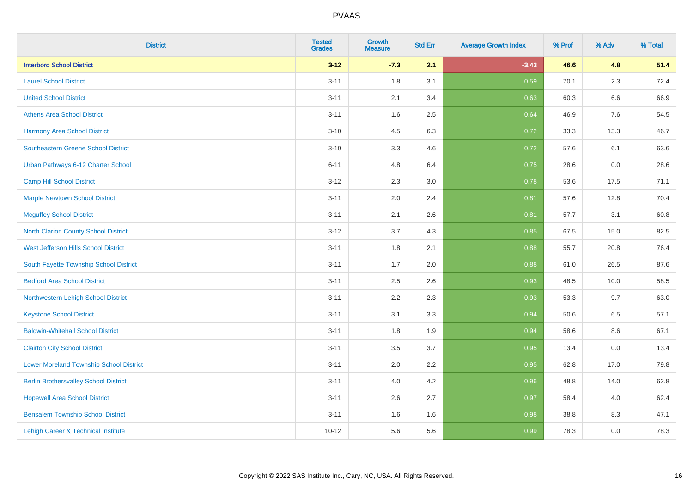| <b>District</b>                                | <b>Tested</b><br><b>Grades</b> | Growth<br><b>Measure</b> | <b>Std Err</b> | <b>Average Growth Index</b> | % Prof | % Adv   | % Total |
|------------------------------------------------|--------------------------------|--------------------------|----------------|-----------------------------|--------|---------|---------|
| <b>Interboro School District</b>               | $3 - 12$                       | $-7.3$                   | 2.1            | $-3.43$                     | 46.6   | 4.8     | 51.4    |
| <b>Laurel School District</b>                  | $3 - 11$                       | 1.8                      | 3.1            | 0.59                        | 70.1   | 2.3     | 72.4    |
| <b>United School District</b>                  | $3 - 11$                       | 2.1                      | 3.4            | 0.63                        | 60.3   | 6.6     | 66.9    |
| <b>Athens Area School District</b>             | $3 - 11$                       | 1.6                      | 2.5            | 0.64                        | 46.9   | $7.6\,$ | 54.5    |
| <b>Harmony Area School District</b>            | $3 - 10$                       | 4.5                      | 6.3            | 0.72                        | 33.3   | 13.3    | 46.7    |
| <b>Southeastern Greene School District</b>     | $3 - 10$                       | 3.3                      | 4.6            | 0.72                        | 57.6   | 6.1     | 63.6    |
| Urban Pathways 6-12 Charter School             | $6 - 11$                       | 4.8                      | 6.4            | 0.75                        | 28.6   | $0.0\,$ | 28.6    |
| <b>Camp Hill School District</b>               | $3 - 12$                       | 2.3                      | 3.0            | 0.78                        | 53.6   | 17.5    | 71.1    |
| <b>Marple Newtown School District</b>          | $3 - 11$                       | 2.0                      | 2.4            | 0.81                        | 57.6   | 12.8    | 70.4    |
| <b>Mcguffey School District</b>                | $3 - 11$                       | 2.1                      | 2.6            | 0.81                        | 57.7   | 3.1     | 60.8    |
| North Clarion County School District           | $3-12$                         | 3.7                      | 4.3            | 0.85                        | 67.5   | 15.0    | 82.5    |
| West Jefferson Hills School District           | $3 - 11$                       | 1.8                      | 2.1            | 0.88                        | 55.7   | 20.8    | 76.4    |
| South Fayette Township School District         | $3 - 11$                       | 1.7                      | 2.0            | 0.88                        | 61.0   | 26.5    | 87.6    |
| <b>Bedford Area School District</b>            | $3 - 11$                       | 2.5                      | 2.6            | 0.93                        | 48.5   | 10.0    | 58.5    |
| Northwestern Lehigh School District            | $3 - 11$                       | 2.2                      | 2.3            | 0.93                        | 53.3   | 9.7     | 63.0    |
| <b>Keystone School District</b>                | $3 - 11$                       | 3.1                      | 3.3            | 0.94                        | 50.6   | 6.5     | 57.1    |
| <b>Baldwin-Whitehall School District</b>       | $3 - 11$                       | 1.8                      | 1.9            | 0.94                        | 58.6   | 8.6     | 67.1    |
| <b>Clairton City School District</b>           | $3 - 11$                       | 3.5                      | 3.7            | 0.95                        | 13.4   | 0.0     | 13.4    |
| <b>Lower Moreland Township School District</b> | $3 - 11$                       | 2.0                      | 2.2            | 0.95                        | 62.8   | 17.0    | 79.8    |
| <b>Berlin Brothersvalley School District</b>   | $3 - 11$                       | 4.0                      | 4.2            | 0.96                        | 48.8   | 14.0    | 62.8    |
| <b>Hopewell Area School District</b>           | $3 - 11$                       | 2.6                      | 2.7            | 0.97                        | 58.4   | 4.0     | 62.4    |
| <b>Bensalem Township School District</b>       | $3 - 11$                       | 1.6                      | 1.6            | 0.98                        | 38.8   | 8.3     | 47.1    |
| Lehigh Career & Technical Institute            | $10 - 12$                      | 5.6                      | 5.6            | 0.99                        | 78.3   | 0.0     | 78.3    |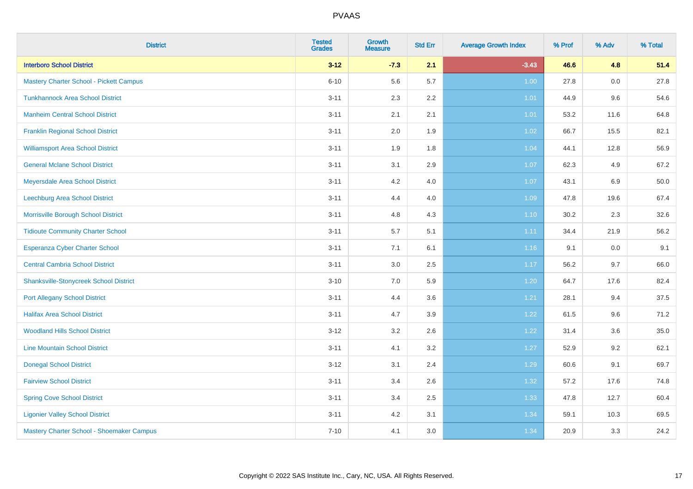| <b>District</b>                                | <b>Tested</b><br><b>Grades</b> | Growth<br><b>Measure</b> | <b>Std Err</b> | <b>Average Growth Index</b> | % Prof | % Adv | % Total |
|------------------------------------------------|--------------------------------|--------------------------|----------------|-----------------------------|--------|-------|---------|
| <b>Interboro School District</b>               | $3 - 12$                       | $-7.3$                   | 2.1            | $-3.43$                     | 46.6   | 4.8   | 51.4    |
| <b>Mastery Charter School - Pickett Campus</b> | $6 - 10$                       | 5.6                      | 5.7            | 1.00                        | 27.8   | 0.0   | 27.8    |
| <b>Tunkhannock Area School District</b>        | $3 - 11$                       | 2.3                      | 2.2            | 1.01                        | 44.9   | 9.6   | 54.6    |
| <b>Manheim Central School District</b>         | $3 - 11$                       | 2.1                      | 2.1            | 1.01                        | 53.2   | 11.6  | 64.8    |
| <b>Franklin Regional School District</b>       | $3 - 11$                       | 2.0                      | 1.9            | 1.02                        | 66.7   | 15.5  | 82.1    |
| <b>Williamsport Area School District</b>       | $3 - 11$                       | 1.9                      | 1.8            | 1.04                        | 44.1   | 12.8  | 56.9    |
| <b>General Mclane School District</b>          | $3 - 11$                       | 3.1                      | 2.9            | 1.07                        | 62.3   | 4.9   | 67.2    |
| <b>Meyersdale Area School District</b>         | $3 - 11$                       | 4.2                      | 4.0            | 1.07                        | 43.1   | 6.9   | 50.0    |
| Leechburg Area School District                 | $3 - 11$                       | 4.4                      | 4.0            | 1.09                        | 47.8   | 19.6  | 67.4    |
| Morrisville Borough School District            | $3 - 11$                       | 4.8                      | 4.3            | 1.10                        | 30.2   | 2.3   | 32.6    |
| <b>Tidioute Community Charter School</b>       | $3 - 11$                       | 5.7                      | 5.1            | 1.11                        | 34.4   | 21.9  | 56.2    |
| Esperanza Cyber Charter School                 | $3 - 11$                       | 7.1                      | 6.1            | 1.16                        | 9.1    | 0.0   | 9.1     |
| <b>Central Cambria School District</b>         | $3 - 11$                       | 3.0                      | 2.5            | 1.17                        | 56.2   | 9.7   | 66.0    |
| <b>Shanksville-Stonycreek School District</b>  | $3 - 10$                       | 7.0                      | 5.9            | 1.20                        | 64.7   | 17.6  | 82.4    |
| <b>Port Allegany School District</b>           | $3 - 11$                       | 4.4                      | 3.6            | 1.21                        | 28.1   | 9.4   | 37.5    |
| <b>Halifax Area School District</b>            | $3 - 11$                       | 4.7                      | 3.9            | 1.22                        | 61.5   | 9.6   | 71.2    |
| <b>Woodland Hills School District</b>          | $3 - 12$                       | 3.2                      | 2.6            | 1.22                        | 31.4   | 3.6   | 35.0    |
| <b>Line Mountain School District</b>           | $3 - 11$                       | 4.1                      | 3.2            | 1.27                        | 52.9   | 9.2   | 62.1    |
| <b>Donegal School District</b>                 | $3 - 12$                       | 3.1                      | 2.4            | 1.29                        | 60.6   | 9.1   | 69.7    |
| <b>Fairview School District</b>                | $3 - 11$                       | 3.4                      | 2.6            | 1.32                        | 57.2   | 17.6  | 74.8    |
| <b>Spring Cove School District</b>             | $3 - 11$                       | 3.4                      | 2.5            | 1.33                        | 47.8   | 12.7  | 60.4    |
| <b>Ligonier Valley School District</b>         | $3 - 11$                       | 4.2                      | 3.1            | 1.34                        | 59.1   | 10.3  | 69.5    |
| Mastery Charter School - Shoemaker Campus      | $7 - 10$                       | 4.1                      | 3.0            | 1.34                        | 20.9   | 3.3   | 24.2    |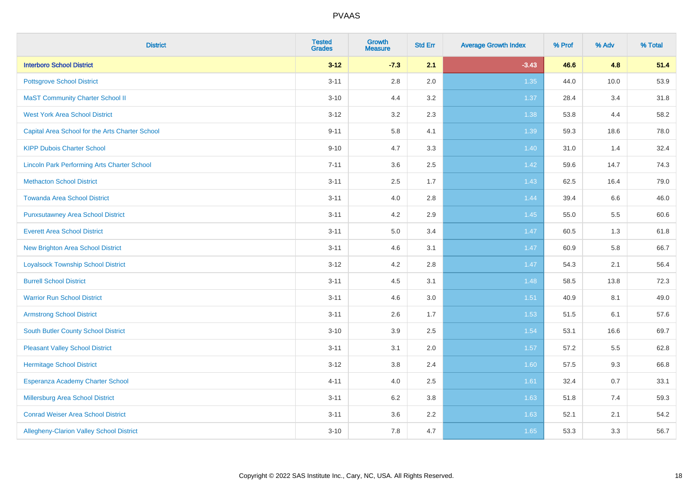| <b>District</b>                                    | <b>Tested</b><br><b>Grades</b> | <b>Growth</b><br><b>Measure</b> | <b>Std Err</b> | <b>Average Growth Index</b> | % Prof | % Adv | % Total |
|----------------------------------------------------|--------------------------------|---------------------------------|----------------|-----------------------------|--------|-------|---------|
| <b>Interboro School District</b>                   | $3 - 12$                       | $-7.3$                          | 2.1            | $-3.43$                     | 46.6   | 4.8   | 51.4    |
| <b>Pottsgrove School District</b>                  | $3 - 11$                       | 2.8                             | 2.0            | 1.35                        | 44.0   | 10.0  | 53.9    |
| <b>MaST Community Charter School II</b>            | $3 - 10$                       | 4.4                             | 3.2            | 1.37                        | 28.4   | 3.4   | 31.8    |
| <b>West York Area School District</b>              | $3 - 12$                       | 3.2                             | 2.3            | 1.38                        | 53.8   | 4.4   | 58.2    |
| Capital Area School for the Arts Charter School    | $9 - 11$                       | 5.8                             | 4.1            | 1.39                        | 59.3   | 18.6  | 78.0    |
| <b>KIPP Dubois Charter School</b>                  | $9 - 10$                       | 4.7                             | 3.3            | 1.40                        | 31.0   | 1.4   | 32.4    |
| <b>Lincoln Park Performing Arts Charter School</b> | $7 - 11$                       | 3.6                             | 2.5            | 1.42                        | 59.6   | 14.7  | 74.3    |
| <b>Methacton School District</b>                   | $3 - 11$                       | 2.5                             | 1.7            | 1.43                        | 62.5   | 16.4  | 79.0    |
| <b>Towanda Area School District</b>                | $3 - 11$                       | 4.0                             | 2.8            | 1.44                        | 39.4   | 6.6   | 46.0    |
| <b>Punxsutawney Area School District</b>           | $3 - 11$                       | 4.2                             | $2.9\,$        | 1.45                        | 55.0   | 5.5   | 60.6    |
| <b>Everett Area School District</b>                | $3 - 11$                       | 5.0                             | 3.4            | 1.47                        | 60.5   | 1.3   | 61.8    |
| <b>New Brighton Area School District</b>           | $3 - 11$                       | 4.6                             | 3.1            | 1.47                        | 60.9   | 5.8   | 66.7    |
| <b>Loyalsock Township School District</b>          | $3 - 12$                       | 4.2                             | 2.8            | 1.47                        | 54.3   | 2.1   | 56.4    |
| <b>Burrell School District</b>                     | $3 - 11$                       | 4.5                             | 3.1            | 1.48                        | 58.5   | 13.8  | 72.3    |
| <b>Warrior Run School District</b>                 | $3 - 11$                       | 4.6                             | 3.0            | 1.51                        | 40.9   | 8.1   | 49.0    |
| <b>Armstrong School District</b>                   | $3 - 11$                       | 2.6                             | 1.7            | 1.53                        | 51.5   | 6.1   | 57.6    |
| <b>South Butler County School District</b>         | $3 - 10$                       | 3.9                             | 2.5            | 1.54                        | 53.1   | 16.6  | 69.7    |
| <b>Pleasant Valley School District</b>             | $3 - 11$                       | 3.1                             | 2.0            | 1.57                        | 57.2   | 5.5   | 62.8    |
| <b>Hermitage School District</b>                   | $3 - 12$                       | 3.8                             | 2.4            | 1.60                        | 57.5   | 9.3   | 66.8    |
| Esperanza Academy Charter School                   | $4 - 11$                       | 4.0                             | 2.5            | 1.61                        | 32.4   | 0.7   | 33.1    |
| Millersburg Area School District                   | $3 - 11$                       | 6.2                             | 3.8            | 1.63                        | 51.8   | 7.4   | 59.3    |
| <b>Conrad Weiser Area School District</b>          | $3 - 11$                       | 3.6                             | 2.2            | 1.63                        | 52.1   | 2.1   | 54.2    |
| <b>Allegheny-Clarion Valley School District</b>    | $3 - 10$                       | 7.8                             | 4.7            | 1.65                        | 53.3   | 3.3   | 56.7    |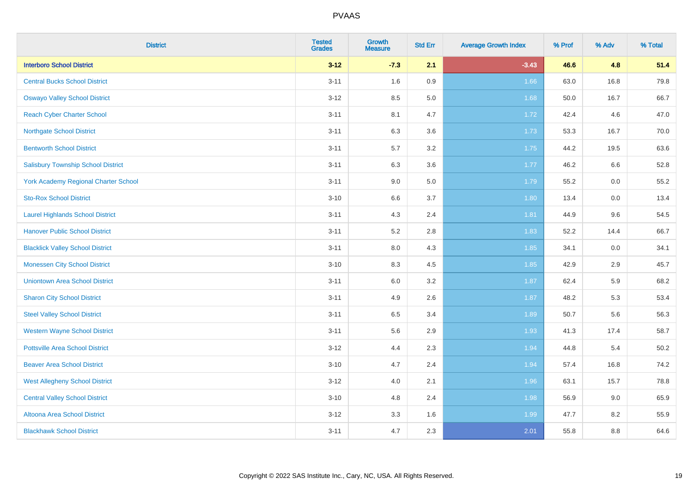| <b>District</b>                             | <b>Tested</b><br><b>Grades</b> | Growth<br><b>Measure</b> | <b>Std Err</b> | <b>Average Growth Index</b> | % Prof | % Adv   | % Total |
|---------------------------------------------|--------------------------------|--------------------------|----------------|-----------------------------|--------|---------|---------|
| <b>Interboro School District</b>            | $3 - 12$                       | $-7.3$                   | 2.1            | $-3.43$                     | 46.6   | 4.8     | 51.4    |
| <b>Central Bucks School District</b>        | $3 - 11$                       | 1.6                      | 0.9            | 1.66                        | 63.0   | 16.8    | 79.8    |
| <b>Oswayo Valley School District</b>        | $3-12$                         | 8.5                      | 5.0            | 1.68                        | 50.0   | 16.7    | 66.7    |
| <b>Reach Cyber Charter School</b>           | $3 - 11$                       | 8.1                      | 4.7            | 1.72                        | 42.4   | 4.6     | 47.0    |
| <b>Northgate School District</b>            | $3 - 11$                       | 6.3                      | 3.6            | 1.73                        | 53.3   | 16.7    | 70.0    |
| <b>Bentworth School District</b>            | $3 - 11$                       | 5.7                      | 3.2            | 1.75                        | 44.2   | 19.5    | 63.6    |
| <b>Salisbury Township School District</b>   | $3 - 11$                       | 6.3                      | 3.6            | 1.77                        | 46.2   | $6.6\,$ | 52.8    |
| <b>York Academy Regional Charter School</b> | $3 - 11$                       | 9.0                      | 5.0            | 1.79                        | 55.2   | 0.0     | 55.2    |
| <b>Sto-Rox School District</b>              | $3 - 10$                       | 6.6                      | 3.7            | 1.80                        | 13.4   | 0.0     | 13.4    |
| <b>Laurel Highlands School District</b>     | $3 - 11$                       | 4.3                      | 2.4            | 1.81                        | 44.9   | 9.6     | 54.5    |
| <b>Hanover Public School District</b>       | $3 - 11$                       | 5.2                      | 2.8            | 1.83                        | 52.2   | 14.4    | 66.7    |
| <b>Blacklick Valley School District</b>     | $3 - 11$                       | 8.0                      | 4.3            | 1.85                        | 34.1   | 0.0     | 34.1    |
| <b>Monessen City School District</b>        | $3 - 10$                       | 8.3                      | 4.5            | 1.85                        | 42.9   | 2.9     | 45.7    |
| <b>Uniontown Area School District</b>       | $3 - 11$                       | 6.0                      | 3.2            | 1.87                        | 62.4   | 5.9     | 68.2    |
| <b>Sharon City School District</b>          | $3 - 11$                       | 4.9                      | 2.6            | 1.87                        | 48.2   | 5.3     | 53.4    |
| <b>Steel Valley School District</b>         | $3 - 11$                       | 6.5                      | 3.4            | 1.89                        | 50.7   | 5.6     | 56.3    |
| <b>Western Wayne School District</b>        | $3 - 11$                       | 5.6                      | 2.9            | 1.93                        | 41.3   | 17.4    | 58.7    |
| <b>Pottsville Area School District</b>      | $3 - 12$                       | 4.4                      | 2.3            | 1.94                        | 44.8   | 5.4     | 50.2    |
| <b>Beaver Area School District</b>          | $3 - 10$                       | 4.7                      | 2.4            | 1.94                        | 57.4   | 16.8    | 74.2    |
| <b>West Allegheny School District</b>       | $3 - 12$                       | 4.0                      | 2.1            | 1.96                        | 63.1   | 15.7    | 78.8    |
| <b>Central Valley School District</b>       | $3 - 10$                       | $4.8\,$                  | 2.4            | 1.98                        | 56.9   | 9.0     | 65.9    |
| Altoona Area School District                | $3 - 12$                       | 3.3                      | 1.6            | 1.99                        | 47.7   | 8.2     | 55.9    |
| <b>Blackhawk School District</b>            | $3 - 11$                       | 4.7                      | 2.3            | 2.01                        | 55.8   | 8.8     | 64.6    |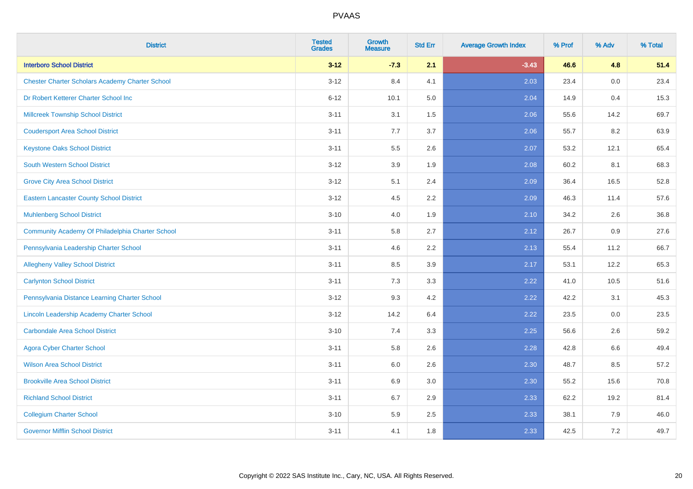| <b>District</b>                                        | <b>Tested</b><br><b>Grades</b> | <b>Growth</b><br><b>Measure</b> | <b>Std Err</b> | <b>Average Growth Index</b> | % Prof | % Adv   | % Total |
|--------------------------------------------------------|--------------------------------|---------------------------------|----------------|-----------------------------|--------|---------|---------|
| <b>Interboro School District</b>                       | $3 - 12$                       | $-7.3$                          | 2.1            | $-3.43$                     | 46.6   | 4.8     | 51.4    |
| <b>Chester Charter Scholars Academy Charter School</b> | $3 - 12$                       | 8.4                             | 4.1            | 2.03                        | 23.4   | 0.0     | 23.4    |
| Dr Robert Ketterer Charter School Inc                  | $6 - 12$                       | 10.1                            | 5.0            | 2.04                        | 14.9   | 0.4     | 15.3    |
| <b>Millcreek Township School District</b>              | $3 - 11$                       | 3.1                             | $1.5\,$        | 2.06                        | 55.6   | 14.2    | 69.7    |
| <b>Coudersport Area School District</b>                | $3 - 11$                       | 7.7                             | 3.7            | 2.06                        | 55.7   | 8.2     | 63.9    |
| <b>Keystone Oaks School District</b>                   | $3 - 11$                       | $5.5\,$                         | 2.6            | 2.07                        | 53.2   | 12.1    | 65.4    |
| South Western School District                          | $3 - 12$                       | 3.9                             | 1.9            | 2.08                        | 60.2   | 8.1     | 68.3    |
| <b>Grove City Area School District</b>                 | $3 - 12$                       | 5.1                             | 2.4            | 2.09                        | 36.4   | 16.5    | 52.8    |
| <b>Eastern Lancaster County School District</b>        | $3 - 12$                       | 4.5                             | 2.2            | 2.09                        | 46.3   | 11.4    | 57.6    |
| <b>Muhlenberg School District</b>                      | $3 - 10$                       | 4.0                             | 1.9            | 2.10                        | 34.2   | $2.6\,$ | 36.8    |
| Community Academy Of Philadelphia Charter School       | $3 - 11$                       | 5.8                             | 2.7            | 2.12                        | 26.7   | 0.9     | 27.6    |
| Pennsylvania Leadership Charter School                 | $3 - 11$                       | 4.6                             | 2.2            | 2.13                        | 55.4   | 11.2    | 66.7    |
| <b>Allegheny Valley School District</b>                | $3 - 11$                       | 8.5                             | 3.9            | 2.17                        | 53.1   | 12.2    | 65.3    |
| <b>Carlynton School District</b>                       | $3 - 11$                       | 7.3                             | 3.3            | 2.22                        | 41.0   | 10.5    | 51.6    |
| Pennsylvania Distance Learning Charter School          | $3 - 12$                       | 9.3                             | 4.2            | 2.22                        | 42.2   | 3.1     | 45.3    |
| Lincoln Leadership Academy Charter School              | $3 - 12$                       | 14.2                            | 6.4            | 2.22                        | 23.5   | 0.0     | 23.5    |
| <b>Carbondale Area School District</b>                 | $3 - 10$                       | 7.4                             | 3.3            | 2.25                        | 56.6   | 2.6     | 59.2    |
| <b>Agora Cyber Charter School</b>                      | $3 - 11$                       | 5.8                             | 2.6            | 2.28                        | 42.8   | 6.6     | 49.4    |
| <b>Wilson Area School District</b>                     | $3 - 11$                       | 6.0                             | 2.6            | 2.30                        | 48.7   | 8.5     | 57.2    |
| <b>Brookville Area School District</b>                 | $3 - 11$                       | 6.9                             | 3.0            | 2.30                        | 55.2   | 15.6    | 70.8    |
| <b>Richland School District</b>                        | $3 - 11$                       | 6.7                             | 2.9            | 2.33                        | 62.2   | 19.2    | 81.4    |
| <b>Collegium Charter School</b>                        | $3 - 10$                       | 5.9                             | 2.5            | 2.33                        | 38.1   | 7.9     | 46.0    |
| <b>Governor Mifflin School District</b>                | $3 - 11$                       | 4.1                             | 1.8            | 2.33                        | 42.5   | 7.2     | 49.7    |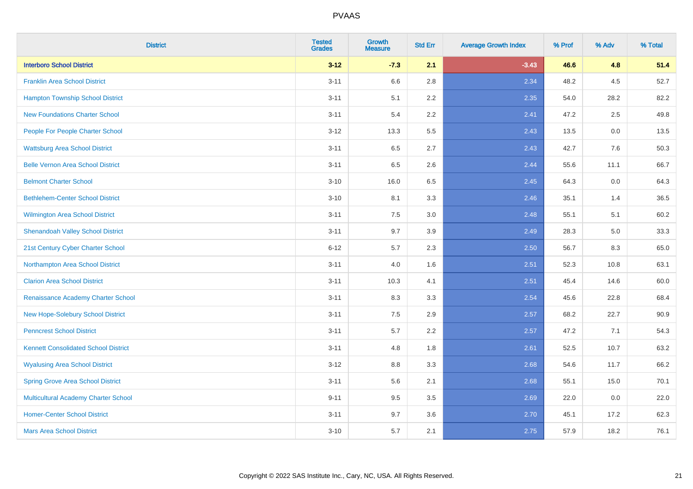| <b>District</b>                             | <b>Tested</b><br><b>Grades</b> | <b>Growth</b><br><b>Measure</b> | <b>Std Err</b> | <b>Average Growth Index</b> | % Prof | % Adv | % Total |
|---------------------------------------------|--------------------------------|---------------------------------|----------------|-----------------------------|--------|-------|---------|
| <b>Interboro School District</b>            | $3 - 12$                       | $-7.3$                          | 2.1            | $-3.43$                     | 46.6   | 4.8   | 51.4    |
| <b>Franklin Area School District</b>        | $3 - 11$                       | 6.6                             | 2.8            | 2.34                        | 48.2   | 4.5   | 52.7    |
| <b>Hampton Township School District</b>     | $3 - 11$                       | 5.1                             | 2.2            | 2.35                        | 54.0   | 28.2  | 82.2    |
| <b>New Foundations Charter School</b>       | $3 - 11$                       | 5.4                             | 2.2            | 2.41                        | 47.2   | 2.5   | 49.8    |
| People For People Charter School            | $3 - 12$                       | 13.3                            | 5.5            | 2.43                        | 13.5   | 0.0   | 13.5    |
| <b>Wattsburg Area School District</b>       | $3 - 11$                       | 6.5                             | 2.7            | 2.43                        | 42.7   | 7.6   | 50.3    |
| <b>Belle Vernon Area School District</b>    | $3 - 11$                       | 6.5                             | 2.6            | 2.44                        | 55.6   | 11.1  | 66.7    |
| <b>Belmont Charter School</b>               | $3 - 10$                       | 16.0                            | 6.5            | 2.45                        | 64.3   | 0.0   | 64.3    |
| <b>Bethlehem-Center School District</b>     | $3 - 10$                       | 8.1                             | 3.3            | 2.46                        | 35.1   | 1.4   | 36.5    |
| Wilmington Area School District             | $3 - 11$                       | 7.5                             | 3.0            | 2.48                        | 55.1   | 5.1   | 60.2    |
| <b>Shenandoah Valley School District</b>    | $3 - 11$                       | 9.7                             | 3.9            | 2.49                        | 28.3   | 5.0   | 33.3    |
| 21st Century Cyber Charter School           | $6 - 12$                       | 5.7                             | 2.3            | 2.50                        | 56.7   | 8.3   | 65.0    |
| Northampton Area School District            | $3 - 11$                       | 4.0                             | 1.6            | 2.51                        | 52.3   | 10.8  | 63.1    |
| <b>Clarion Area School District</b>         | $3 - 11$                       | 10.3                            | 4.1            | 2.51                        | 45.4   | 14.6  | 60.0    |
| Renaissance Academy Charter School          | $3 - 11$                       | 8.3                             | 3.3            | 2.54                        | 45.6   | 22.8  | 68.4    |
| New Hope-Solebury School District           | $3 - 11$                       | $7.5\,$                         | 2.9            | 2.57                        | 68.2   | 22.7  | 90.9    |
| <b>Penncrest School District</b>            | $3 - 11$                       | 5.7                             | 2.2            | 2.57                        | 47.2   | 7.1   | 54.3    |
| <b>Kennett Consolidated School District</b> | $3 - 11$                       | 4.8                             | 1.8            | 2.61                        | 52.5   | 10.7  | 63.2    |
| <b>Wyalusing Area School District</b>       | $3 - 12$                       | $8.8\,$                         | 3.3            | 2.68                        | 54.6   | 11.7  | 66.2    |
| <b>Spring Grove Area School District</b>    | $3 - 11$                       | 5.6                             | 2.1            | 2.68                        | 55.1   | 15.0  | 70.1    |
| <b>Multicultural Academy Charter School</b> | $9 - 11$                       | 9.5                             | 3.5            | 2.69                        | 22.0   | 0.0   | 22.0    |
| <b>Homer-Center School District</b>         | $3 - 11$                       | 9.7                             | 3.6            | 2.70                        | 45.1   | 17.2  | 62.3    |
| <b>Mars Area School District</b>            | $3 - 10$                       | 5.7                             | 2.1            | 2.75                        | 57.9   | 18.2  | 76.1    |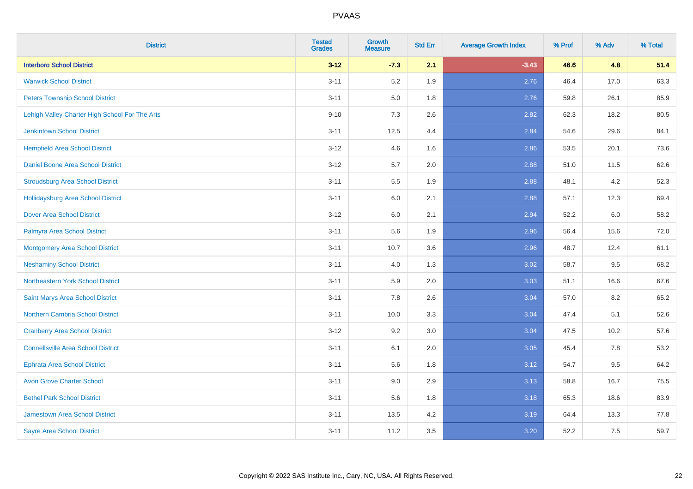| <b>District</b>                                | <b>Tested</b><br><b>Grades</b> | Growth<br><b>Measure</b> | <b>Std Err</b> | <b>Average Growth Index</b> | % Prof | % Adv | % Total |
|------------------------------------------------|--------------------------------|--------------------------|----------------|-----------------------------|--------|-------|---------|
| <b>Interboro School District</b>               | $3 - 12$                       | $-7.3$                   | 2.1            | $-3.43$                     | 46.6   | 4.8   | 51.4    |
| <b>Warwick School District</b>                 | $3 - 11$                       | 5.2                      | 1.9            | 2.76                        | 46.4   | 17.0  | 63.3    |
| <b>Peters Township School District</b>         | $3 - 11$                       | 5.0                      | 1.8            | 2.76                        | 59.8   | 26.1  | 85.9    |
| Lehigh Valley Charter High School For The Arts | $9 - 10$                       | $7.3$                    | 2.6            | 2.82                        | 62.3   | 18.2  | 80.5    |
| <b>Jenkintown School District</b>              | $3 - 11$                       | 12.5                     | 4.4            | 2.84                        | 54.6   | 29.6  | 84.1    |
| <b>Hempfield Area School District</b>          | $3 - 12$                       | 4.6                      | 1.6            | 2.86                        | 53.5   | 20.1  | 73.6    |
| Daniel Boone Area School District              | $3 - 12$                       | 5.7                      | 2.0            | 2.88                        | 51.0   | 11.5  | 62.6    |
| <b>Stroudsburg Area School District</b>        | $3 - 11$                       | 5.5                      | 1.9            | 2.88                        | 48.1   | 4.2   | 52.3    |
| <b>Hollidaysburg Area School District</b>      | $3 - 11$                       | 6.0                      | 2.1            | 2.88                        | 57.1   | 12.3  | 69.4    |
| <b>Dover Area School District</b>              | $3 - 12$                       | $6.0\,$                  | 2.1            | 2.94                        | 52.2   | 6.0   | 58.2    |
| Palmyra Area School District                   | $3 - 11$                       | 5.6                      | 1.9            | 2.96                        | 56.4   | 15.6  | 72.0    |
| <b>Montgomery Area School District</b>         | $3 - 11$                       | 10.7                     | 3.6            | 2.96                        | 48.7   | 12.4  | 61.1    |
| <b>Neshaminy School District</b>               | $3 - 11$                       | 4.0                      | 1.3            | 3.02                        | 58.7   | 9.5   | 68.2    |
| Northeastern York School District              | $3 - 11$                       | 5.9                      | 2.0            | 3.03                        | 51.1   | 16.6  | 67.6    |
| Saint Marys Area School District               | $3 - 11$                       | 7.8                      | 2.6            | 3.04                        | 57.0   | 8.2   | 65.2    |
| <b>Northern Cambria School District</b>        | $3 - 11$                       | 10.0                     | 3.3            | 3.04                        | 47.4   | 5.1   | 52.6    |
| <b>Cranberry Area School District</b>          | $3 - 12$                       | 9.2                      | 3.0            | 3.04                        | 47.5   | 10.2  | 57.6    |
| <b>Connellsville Area School District</b>      | $3 - 11$                       | 6.1                      | 2.0            | 3.05                        | 45.4   | 7.8   | 53.2    |
| <b>Ephrata Area School District</b>            | $3 - 11$                       | 5.6                      | 1.8            | 3.12                        | 54.7   | 9.5   | 64.2    |
| <b>Avon Grove Charter School</b>               | $3 - 11$                       | 9.0                      | 2.9            | 3.13                        | 58.8   | 16.7  | 75.5    |
| <b>Bethel Park School District</b>             | $3 - 11$                       | 5.6                      | 1.8            | 3.18                        | 65.3   | 18.6  | 83.9    |
| <b>Jamestown Area School District</b>          | $3 - 11$                       | 13.5                     | 4.2            | 3.19                        | 64.4   | 13.3  | 77.8    |
| <b>Sayre Area School District</b>              | $3 - 11$                       | 11.2                     | 3.5            | 3.20                        | 52.2   | 7.5   | 59.7    |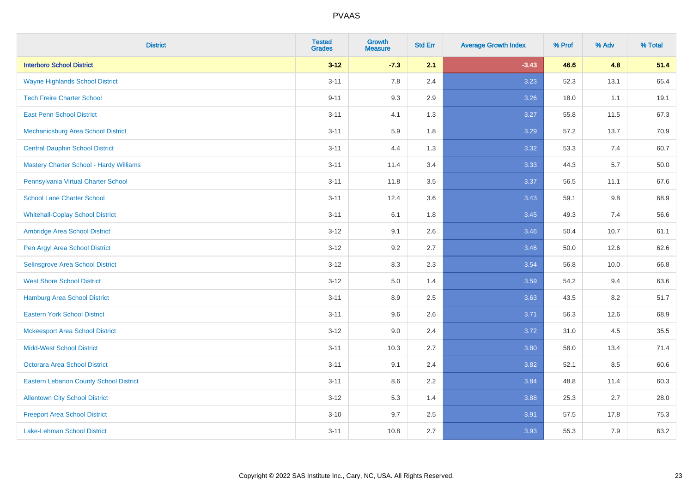| <b>District</b>                               | <b>Tested</b><br><b>Grades</b> | Growth<br><b>Measure</b> | <b>Std Err</b> | <b>Average Growth Index</b> | % Prof | % Adv | % Total |
|-----------------------------------------------|--------------------------------|--------------------------|----------------|-----------------------------|--------|-------|---------|
| <b>Interboro School District</b>              | $3 - 12$                       | $-7.3$                   | 2.1            | $-3.43$                     | 46.6   | 4.8   | 51.4    |
| <b>Wayne Highlands School District</b>        | $3 - 11$                       | 7.8                      | 2.4            | 3.23                        | 52.3   | 13.1  | 65.4    |
| <b>Tech Freire Charter School</b>             | $9 - 11$                       | 9.3                      | 2.9            | 3.26                        | 18.0   | 1.1   | 19.1    |
| <b>East Penn School District</b>              | $3 - 11$                       | 4.1                      | 1.3            | 3.27                        | 55.8   | 11.5  | 67.3    |
| Mechanicsburg Area School District            | $3 - 11$                       | 5.9                      | 1.8            | 3.29                        | 57.2   | 13.7  | 70.9    |
| <b>Central Dauphin School District</b>        | $3 - 11$                       | 4.4                      | 1.3            | 3.32                        | 53.3   | 7.4   | 60.7    |
| Mastery Charter School - Hardy Williams       | $3 - 11$                       | 11.4                     | 3.4            | 3.33                        | 44.3   | 5.7   | 50.0    |
| Pennsylvania Virtual Charter School           | $3 - 11$                       | 11.8                     | 3.5            | 3.37                        | 56.5   | 11.1  | 67.6    |
| <b>School Lane Charter School</b>             | $3 - 11$                       | 12.4                     | 3.6            | 3.43                        | 59.1   | 9.8   | 68.9    |
| <b>Whitehall-Coplay School District</b>       | $3 - 11$                       | 6.1                      | 1.8            | 3.45                        | 49.3   | 7.4   | 56.6    |
| Ambridge Area School District                 | $3 - 12$                       | 9.1                      | 2.6            | 3.46                        | 50.4   | 10.7  | 61.1    |
| Pen Argyl Area School District                | $3 - 12$                       | 9.2                      | 2.7            | 3.46                        | 50.0   | 12.6  | 62.6    |
| Selinsgrove Area School District              | $3 - 12$                       | 8.3                      | 2.3            | 3.54                        | 56.8   | 10.0  | 66.8    |
| <b>West Shore School District</b>             | $3 - 12$                       | 5.0                      | 1.4            | 3.59                        | 54.2   | 9.4   | 63.6    |
| <b>Hamburg Area School District</b>           | $3 - 11$                       | 8.9                      | 2.5            | 3.63                        | 43.5   | 8.2   | 51.7    |
| <b>Eastern York School District</b>           | $3 - 11$                       | 9.6                      | 2.6            | 3.71                        | 56.3   | 12.6  | 68.9    |
| <b>Mckeesport Area School District</b>        | $3 - 12$                       | 9.0                      | 2.4            | 3.72                        | 31.0   | 4.5   | 35.5    |
| <b>Midd-West School District</b>              | $3 - 11$                       | 10.3                     | 2.7            | 3.80                        | 58.0   | 13.4  | 71.4    |
| <b>Octorara Area School District</b>          | $3 - 11$                       | 9.1                      | 2.4            | 3.82                        | 52.1   | 8.5   | 60.6    |
| <b>Eastern Lebanon County School District</b> | $3 - 11$                       | 8.6                      | 2.2            | 3.84                        | 48.8   | 11.4  | 60.3    |
| <b>Allentown City School District</b>         | $3 - 12$                       | 5.3                      | 1.4            | 3.88                        | 25.3   | 2.7   | 28.0    |
| <b>Freeport Area School District</b>          | $3 - 10$                       | 9.7                      | 2.5            | 3.91                        | 57.5   | 17.8  | 75.3    |
| <b>Lake-Lehman School District</b>            | $3 - 11$                       | 10.8                     | 2.7            | 3.93                        | 55.3   | 7.9   | 63.2    |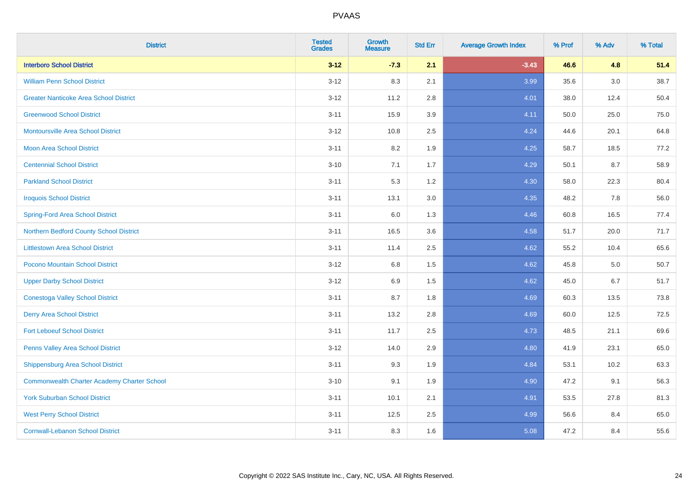| <b>District</b>                                    | <b>Tested</b><br><b>Grades</b> | Growth<br><b>Measure</b> | <b>Std Err</b> | <b>Average Growth Index</b> | % Prof | % Adv | % Total |
|----------------------------------------------------|--------------------------------|--------------------------|----------------|-----------------------------|--------|-------|---------|
| <b>Interboro School District</b>                   | $3 - 12$                       | $-7.3$                   | 2.1            | $-3.43$                     | 46.6   | 4.8   | 51.4    |
| <b>William Penn School District</b>                | $3 - 12$                       | 8.3                      | 2.1            | 3.99                        | 35.6   | 3.0   | 38.7    |
| <b>Greater Nanticoke Area School District</b>      | $3 - 12$                       | 11.2                     | 2.8            | 4.01                        | 38.0   | 12.4  | 50.4    |
| <b>Greenwood School District</b>                   | $3 - 11$                       | 15.9                     | 3.9            | 4.11                        | 50.0   | 25.0  | 75.0    |
| <b>Montoursville Area School District</b>          | $3 - 12$                       | 10.8                     | 2.5            | 4.24                        | 44.6   | 20.1  | 64.8    |
| <b>Moon Area School District</b>                   | $3 - 11$                       | 8.2                      | 1.9            | 4.25                        | 58.7   | 18.5  | 77.2    |
| <b>Centennial School District</b>                  | $3 - 10$                       | 7.1                      | 1.7            | 4.29                        | 50.1   | 8.7   | 58.9    |
| <b>Parkland School District</b>                    | $3 - 11$                       | 5.3                      | 1.2            | 4.30                        | 58.0   | 22.3  | 80.4    |
| <b>Iroquois School District</b>                    | $3 - 11$                       | 13.1                     | 3.0            | 4.35                        | 48.2   | 7.8   | 56.0    |
| <b>Spring-Ford Area School District</b>            | $3 - 11$                       | 6.0                      | 1.3            | 4.46                        | 60.8   | 16.5  | 77.4    |
| Northern Bedford County School District            | $3 - 11$                       | 16.5                     | 3.6            | 4.58                        | 51.7   | 20.0  | 71.7    |
| <b>Littlestown Area School District</b>            | $3 - 11$                       | 11.4                     | 2.5            | 4.62                        | 55.2   | 10.4  | 65.6    |
| Pocono Mountain School District                    | $3 - 12$                       | 6.8                      | 1.5            | 4.62                        | 45.8   | 5.0   | 50.7    |
| <b>Upper Darby School District</b>                 | $3 - 12$                       | 6.9                      | 1.5            | 4.62                        | 45.0   | 6.7   | 51.7    |
| <b>Conestoga Valley School District</b>            | $3 - 11$                       | 8.7                      | 1.8            | 4.69                        | 60.3   | 13.5  | 73.8    |
| <b>Derry Area School District</b>                  | $3 - 11$                       | 13.2                     | 2.8            | 4.69                        | 60.0   | 12.5  | 72.5    |
| <b>Fort Leboeuf School District</b>                | $3 - 11$                       | 11.7                     | 2.5            | 4.73                        | 48.5   | 21.1  | 69.6    |
| Penns Valley Area School District                  | $3 - 12$                       | 14.0                     | 2.9            | 4.80                        | 41.9   | 23.1  | 65.0    |
| <b>Shippensburg Area School District</b>           | $3 - 11$                       | 9.3                      | 1.9            | 4.84                        | 53.1   | 10.2  | 63.3    |
| <b>Commonwealth Charter Academy Charter School</b> | $3 - 10$                       | 9.1                      | 1.9            | 4.90                        | 47.2   | 9.1   | 56.3    |
| <b>York Suburban School District</b>               | $3 - 11$                       | 10.1                     | 2.1            | 4.91                        | 53.5   | 27.8  | 81.3    |
| <b>West Perry School District</b>                  | $3 - 11$                       | 12.5                     | 2.5            | 4.99                        | 56.6   | 8.4   | 65.0    |
| <b>Cornwall-Lebanon School District</b>            | $3 - 11$                       | 8.3                      | 1.6            | 5.08                        | 47.2   | 8.4   | 55.6    |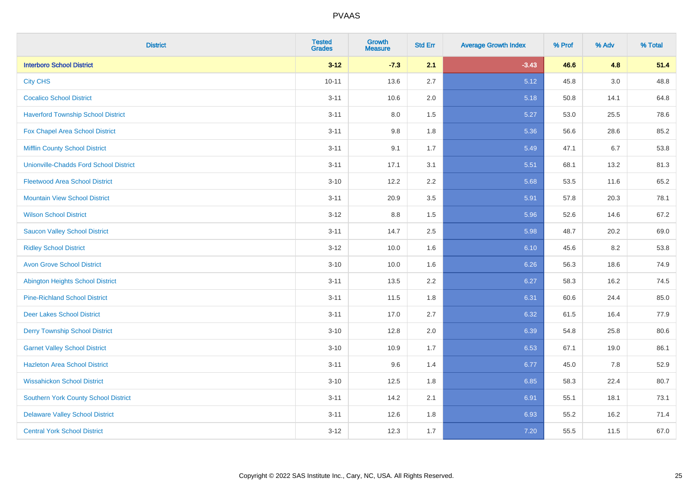| <b>District</b>                               | <b>Tested</b><br><b>Grades</b> | Growth<br><b>Measure</b> | <b>Std Err</b> | <b>Average Growth Index</b> | % Prof | % Adv | % Total |
|-----------------------------------------------|--------------------------------|--------------------------|----------------|-----------------------------|--------|-------|---------|
| <b>Interboro School District</b>              | $3 - 12$                       | $-7.3$                   | 2.1            | $-3.43$                     | 46.6   | 4.8   | 51.4    |
| <b>City CHS</b>                               | $10 - 11$                      | 13.6                     | 2.7            | 5.12                        | 45.8   | 3.0   | 48.8    |
| <b>Cocalico School District</b>               | $3 - 11$                       | 10.6                     | 2.0            | 5.18                        | 50.8   | 14.1  | 64.8    |
| <b>Haverford Township School District</b>     | $3 - 11$                       | $8.0\,$                  | 1.5            | 5.27                        | 53.0   | 25.5  | 78.6    |
| <b>Fox Chapel Area School District</b>        | $3 - 11$                       | 9.8                      | 1.8            | 5.36                        | 56.6   | 28.6  | 85.2    |
| <b>Mifflin County School District</b>         | $3 - 11$                       | 9.1                      | 1.7            | 5.49                        | 47.1   | 6.7   | 53.8    |
| <b>Unionville-Chadds Ford School District</b> | $3 - 11$                       | 17.1                     | 3.1            | 5.51                        | 68.1   | 13.2  | 81.3    |
| <b>Fleetwood Area School District</b>         | $3 - 10$                       | 12.2                     | 2.2            | 5.68                        | 53.5   | 11.6  | 65.2    |
| <b>Mountain View School District</b>          | $3 - 11$                       | 20.9                     | 3.5            | 5.91                        | 57.8   | 20.3  | 78.1    |
| <b>Wilson School District</b>                 | $3 - 12$                       | $8.8\,$                  | 1.5            | 5.96                        | 52.6   | 14.6  | 67.2    |
| <b>Saucon Valley School District</b>          | $3 - 11$                       | 14.7                     | 2.5            | 5.98                        | 48.7   | 20.2  | 69.0    |
| <b>Ridley School District</b>                 | $3 - 12$                       | 10.0                     | 1.6            | 6.10                        | 45.6   | 8.2   | 53.8    |
| <b>Avon Grove School District</b>             | $3 - 10$                       | 10.0                     | 1.6            | 6.26                        | 56.3   | 18.6  | 74.9    |
| <b>Abington Heights School District</b>       | $3 - 11$                       | 13.5                     | 2.2            | 6.27                        | 58.3   | 16.2  | 74.5    |
| <b>Pine-Richland School District</b>          | $3 - 11$                       | 11.5                     | 1.8            | 6.31                        | 60.6   | 24.4  | 85.0    |
| <b>Deer Lakes School District</b>             | $3 - 11$                       | 17.0                     | 2.7            | 6.32                        | 61.5   | 16.4  | 77.9    |
| <b>Derry Township School District</b>         | $3 - 10$                       | 12.8                     | 2.0            | 6.39                        | 54.8   | 25.8  | 80.6    |
| <b>Garnet Valley School District</b>          | $3 - 10$                       | 10.9                     | 1.7            | 6.53                        | 67.1   | 19.0  | 86.1    |
| <b>Hazleton Area School District</b>          | $3 - 11$                       | 9.6                      | 1.4            | 6.77                        | 45.0   | 7.8   | 52.9    |
| <b>Wissahickon School District</b>            | $3 - 10$                       | 12.5                     | 1.8            | 6.85                        | 58.3   | 22.4  | 80.7    |
| <b>Southern York County School District</b>   | $3 - 11$                       | 14.2                     | 2.1            | 6.91                        | 55.1   | 18.1  | 73.1    |
| <b>Delaware Valley School District</b>        | $3 - 11$                       | 12.6                     | 1.8            | 6.93                        | 55.2   | 16.2  | 71.4    |
| <b>Central York School District</b>           | $3 - 12$                       | 12.3                     | 1.7            | 7.20                        | 55.5   | 11.5  | 67.0    |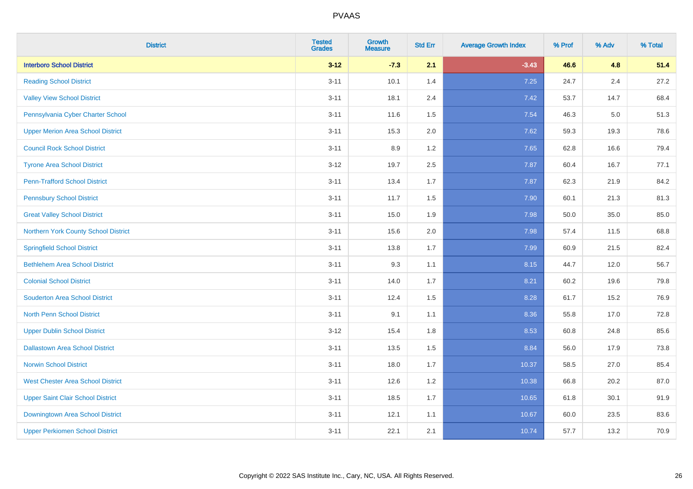| <b>District</b>                          | <b>Tested</b><br><b>Grades</b> | Growth<br><b>Measure</b> | <b>Std Err</b> | <b>Average Growth Index</b> | % Prof | % Adv   | % Total |
|------------------------------------------|--------------------------------|--------------------------|----------------|-----------------------------|--------|---------|---------|
| <b>Interboro School District</b>         | $3 - 12$                       | $-7.3$                   | 2.1            | $-3.43$                     | 46.6   | 4.8     | 51.4    |
| <b>Reading School District</b>           | $3 - 11$                       | 10.1                     | 1.4            | 7.25                        | 24.7   | 2.4     | 27.2    |
| <b>Valley View School District</b>       | $3 - 11$                       | 18.1                     | 2.4            | 7.42                        | 53.7   | 14.7    | 68.4    |
| Pennsylvania Cyber Charter School        | $3 - 11$                       | 11.6                     | 1.5            | 7.54                        | 46.3   | $5.0\,$ | 51.3    |
| <b>Upper Merion Area School District</b> | $3 - 11$                       | 15.3                     | 2.0            | 7.62                        | 59.3   | 19.3    | 78.6    |
| <b>Council Rock School District</b>      | $3 - 11$                       | 8.9                      | 1.2            | 7.65                        | 62.8   | 16.6    | 79.4    |
| <b>Tyrone Area School District</b>       | $3 - 12$                       | 19.7                     | 2.5            | 7.87                        | 60.4   | 16.7    | 77.1    |
| <b>Penn-Trafford School District</b>     | $3 - 11$                       | 13.4                     | 1.7            | 7.87                        | 62.3   | 21.9    | 84.2    |
| <b>Pennsbury School District</b>         | $3 - 11$                       | 11.7                     | 1.5            | 7.90                        | 60.1   | 21.3    | 81.3    |
| <b>Great Valley School District</b>      | $3 - 11$                       | 15.0                     | 1.9            | 7.98                        | 50.0   | 35.0    | 85.0    |
| Northern York County School District     | $3 - 11$                       | 15.6                     | 2.0            | 7.98                        | 57.4   | 11.5    | 68.8    |
| <b>Springfield School District</b>       | $3 - 11$                       | 13.8                     | 1.7            | 7.99                        | 60.9   | 21.5    | 82.4    |
| <b>Bethlehem Area School District</b>    | $3 - 11$                       | 9.3                      | 1.1            | 8.15                        | 44.7   | 12.0    | 56.7    |
| <b>Colonial School District</b>          | $3 - 11$                       | 14.0                     | 1.7            | 8.21                        | 60.2   | 19.6    | 79.8    |
| <b>Souderton Area School District</b>    | $3 - 11$                       | 12.4                     | 1.5            | 8.28                        | 61.7   | 15.2    | 76.9    |
| <b>North Penn School District</b>        | $3 - 11$                       | 9.1                      | 1.1            | 8.36                        | 55.8   | 17.0    | 72.8    |
| <b>Upper Dublin School District</b>      | $3 - 12$                       | 15.4                     | 1.8            | 8.53                        | 60.8   | 24.8    | 85.6    |
| <b>Dallastown Area School District</b>   | $3 - 11$                       | 13.5                     | 1.5            | 8.84                        | 56.0   | 17.9    | 73.8    |
| <b>Norwin School District</b>            | $3 - 11$                       | 18.0                     | 1.7            | 10.37                       | 58.5   | 27.0    | 85.4    |
| <b>West Chester Area School District</b> | $3 - 11$                       | 12.6                     | 1.2            | 10.38                       | 66.8   | 20.2    | 87.0    |
| <b>Upper Saint Clair School District</b> | $3 - 11$                       | 18.5                     | 1.7            | 10.65                       | 61.8   | 30.1    | 91.9    |
| Downingtown Area School District         | $3 - 11$                       | 12.1                     | 1.1            | 10.67                       | 60.0   | 23.5    | 83.6    |
| <b>Upper Perkiomen School District</b>   | $3 - 11$                       | 22.1                     | 2.1            | 10.74                       | 57.7   | 13.2    | 70.9    |